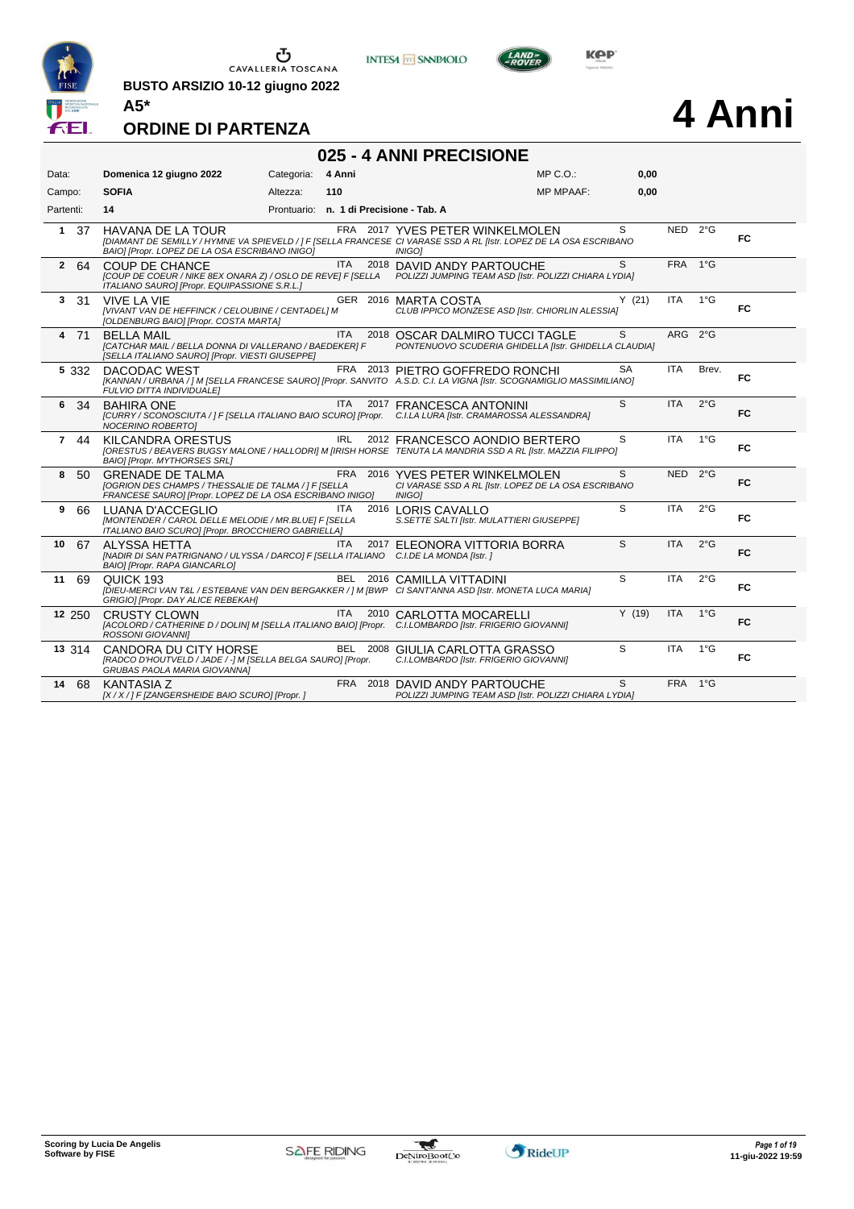

**BUSTO ARSIZIO 10-12 giugno 2022 A5\***





# **4 Anni**

|  | 025 - 4 ANNI PRECISIONE |
|--|-------------------------|
|--|-------------------------|

| Data:               | Domenica 12 giugno 2022                                                                                                                                                                         | Categoria: | 4 Anni     |                                                                                                         | MP C.O.:         | 0,00         |            |               |     |
|---------------------|-------------------------------------------------------------------------------------------------------------------------------------------------------------------------------------------------|------------|------------|---------------------------------------------------------------------------------------------------------|------------------|--------------|------------|---------------|-----|
| Campo:              | <b>SOFIA</b>                                                                                                                                                                                    | Altezza:   | 110        |                                                                                                         | <b>MP MPAAF:</b> | 0,00         |            |               |     |
| Partenti:           | 14                                                                                                                                                                                              |            |            | Prontuario: n. 1 di Precisione - Tab. A                                                                 |                  |              |            |               |     |
| $\mathbf{1}$<br>37  | <b>HAVANA DE LA TOUR</b><br>[DIAMANT DE SEMILLY / HYMNE VA SPIEVELD / ] F [SELLA FRANCESE CI VARASE SSD A RL [Istr. LOPEZ DE LA OSA ESCRIBANO<br>BAIO] [Propr. LOPEZ DE LA OSA ESCRIBANO INIGO] |            |            | FRA 2017 YVES PETER WINKELMOLEN<br><b>INIGO1</b>                                                        |                  | S            | NED 2°G    |               | FC  |
| $\mathbf{2}$<br>-64 | <b>COUP DE CHANCE</b><br>[COUP DE COEUR / NIKE 8EX ONARA Z) / OSLO DE REVE] F [SELLA<br>ITALIANO SAURO] [Propr. EQUIPASSIONE S.R.L.]                                                            |            | <b>ITA</b> | 2018 DAVID ANDY PARTOUCHE<br>POLIZZI JUMPING TEAM ASD [Istr. POLIZZI CHIARA LYDIA]                      |                  | S            | FRA 1°G    |               |     |
| 3<br>-31            | <b>VIVE LA VIE</b><br>[VIVANT VAN DE HEFFINCK / CELOUBINE / CENTADEL] M<br>[OLDENBURG BAIO] [Propr. COSTA MARTA]                                                                                |            |            | GER 2016 MARTA COSTA<br>CLUB IPPICO MONZESE ASD [Istr. CHIORLIN ALESSIA]                                |                  | Y(21)        | <b>ITA</b> | $1^{\circ}$ G | FC  |
| 4 71                | <b>BELLA MAIL</b><br>[CATCHAR MAIL / BELLA DONNA DI VALLERANO / BAEDEKER] F<br>[SELLA ITALIANO SAURO] [Propr. VIESTI GIUSEPPE]                                                                  |            | ITA.       | 2018 OSCAR DALMIRO TUCCI TAGLE<br>PONTENUOVO SCUDERIA GHIDELLA [Istr. GHIDELLA CLAUDIA]                 |                  | S.           | ARG 2°G    |               |     |
| 5 3 3 2             | DACODAC WEST<br>[KANNAN / URBANA / ] M [SELLA FRANCESE SAURO] [Propr. SANVITO A.S.D. C.I. LA VIGNA [Istr. SCOGNAMIGLIO MASSIMILIANO]<br>FULVIO DITTA INDIVIDUALE]                               |            |            | FRA 2013 PIETRO GOFFREDO RONCHI                                                                         |                  | SA           | ITA        | Brev.         | FC. |
| 6 34                | <b>BAHIRA ONE</b><br>[CURRY / SCONOSCIUTA / ] F [SELLA ITALIANO BAIO SCURO] [Propr. C.I.LA LURA [Istr. CRAMAROSSA ALESSANDRA]<br>NOCERINO ROBERTOI                                              |            | <b>ITA</b> | 2017 FRANCESCA ANTONINI                                                                                 |                  | $\mathbf{s}$ | <b>ITA</b> | $2^{\circ}$ G | FC  |
| 7 44                | KILCANDRA ORESTUS<br>[ORESTUS / BEAVERS BUGSY MALONE / HALLODRI] M [IRISH HORSE TENUTA LA MANDRIA SSD A RL [Istr. MAZZIA FILIPPO]<br>BAIO] [Propr. MYTHORSES SRL]                               |            | <b>IRL</b> | 2012 FRANCESCO AONDIO BERTERO                                                                           |                  | S            | <b>ITA</b> | $1^{\circ}$ G | FC. |
| 8<br>-50            | <b>GRENADE DE TALMA</b><br>[OGRION DES CHAMPS / THESSALIE DE TALMA / ] F [SELLA<br>FRANCESE SAURO] [Propr. LOPEZ DE LA OSA ESCRIBANO INIGO]                                                     |            |            | FRA 2016 YVES PETER WINKELMOLEN<br>CI VARASE SSD A RL [Istr. LOPEZ DE LA OSA ESCRIBANO<br><b>INIGO1</b> |                  | S            | NED 2°G    |               | FC  |
| 9<br>66             | LUANA D'ACCEGLIO<br>[MONTENDER / CAROL DELLE MELODIE / MR.BLUE] F [SELLA<br>ITALIANO BAIO SCURO] [Propr. BROCCHIERO GABRIELLA]                                                                  |            | ITA.       | 2016 LORIS CAVALLO<br>S. SETTE SALTI [Istr. MULATTIERI GIUSEPPE]                                        |                  | S            | <b>ITA</b> | $2^{\circ}$ G | FC  |
| 10<br>67            | ALYSSA HETTA<br>[NADIR DI SAN PATRIGNANO / ULYSSA / DARCO] F [SELLA ITALIANO C.I.DE LA MONDA [Istr. ]<br>BAIO] [Propr. RAPA GIANCARLO]                                                          |            | <b>ITA</b> | 2017 ELEONORA VITTORIA BORRA                                                                            |                  | S            | <b>ITA</b> | 2°G           | FC  |
| 69<br>11            | QUICK 193<br>[DIEU-MERCI VAN T&L / ESTEBANE VAN DEN BERGAKKER / ] M [BWP CI SANT'ANNA ASD [Istr. MONETA LUCA MARIA]<br>GRIGIO] [Propr. DAY ALICE REBEKAH]                                       |            |            | BEL 2016 CAMILLA VITTADINI                                                                              |                  | S            | <b>ITA</b> | 2°G           | FC  |
| 12 250              | <b>CRUSTY CLOWN</b><br>[ACOLORD / CATHERINE D / DOLIN] M [SELLA ITALIANO BAIO] [Propr. C.I.LOMBARDO [Istr. FRIGERIO GIOVANNI]<br><b>ROSSONI GIOVANNII</b>                                       |            | <b>ITA</b> | 2010 CARLOTTA MOCARELLI                                                                                 |                  | Y(19)        | <b>ITA</b> | $1^{\circ}$ G | FC  |
| 13 314              | CANDORA DU CITY HORSE<br>[RADCO D'HOUTVELD / JADE / -] M [SELLA BELGA SAURO] [Propr.<br>GRUBAS PAOLA MARIA GIOVANNAI                                                                            |            |            | BEL 2008 GIULIA CARLOTTA GRASSO<br>C.I.LOMBARDO [Istr. FRIGERIO GIOVANNI]                               |                  | S            | <b>ITA</b> | $1^{\circ}$ G | FC  |
| 14<br>68            | <b>KANTASIA Z</b><br>[X / X / ] F [ZANGERSHEIDE BAIO SCURO] [Propr. ]                                                                                                                           |            |            | FRA 2018 DAVID ANDY PARTOUCHE<br>POLIZZI JUMPING TEAM ASD [Istr. POLIZZI CHIARA LYDIA]                  |                  | S            | FRA 1°G    |               |     |

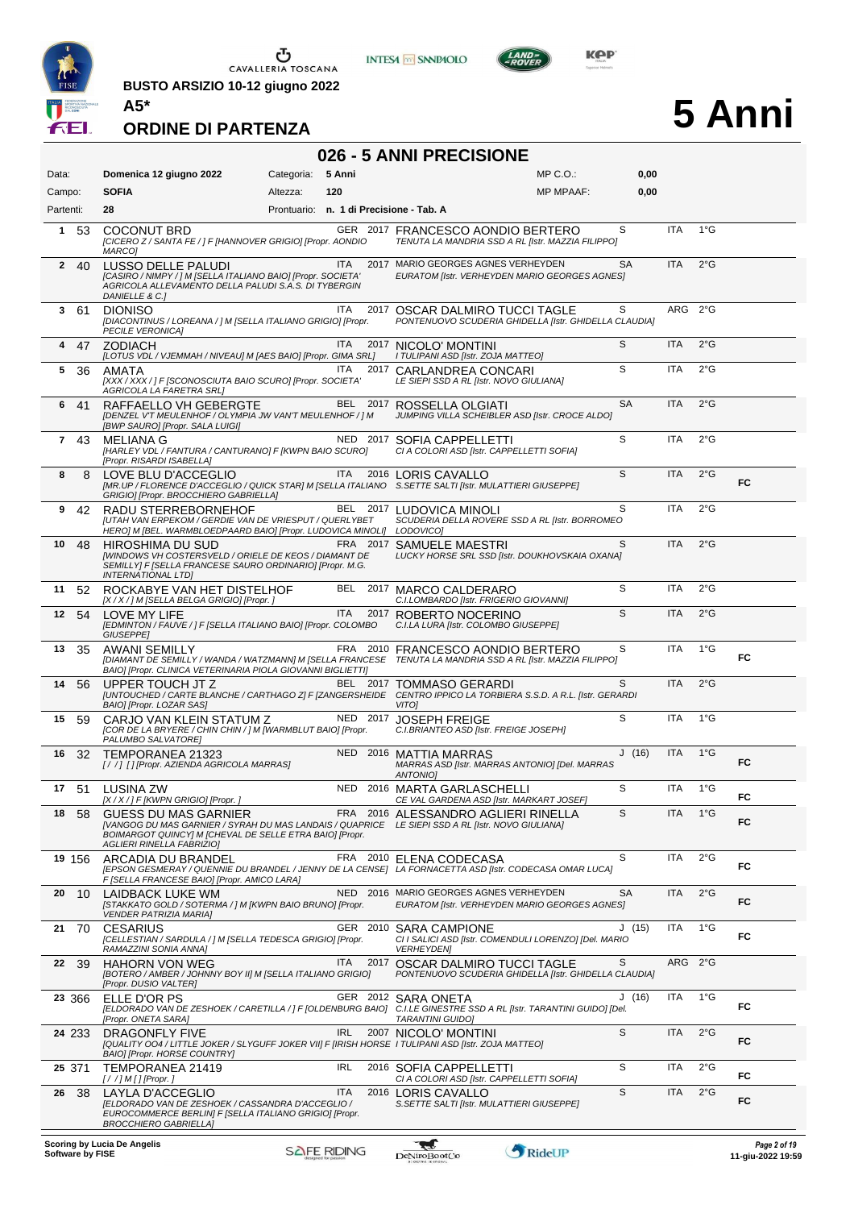

**BUSTO ARSIZIO 10-12 giugno 2022 A5\***





 $L$ AND

# **5 Anni**

| 026 - 5 ANNI PRECISIONE |                                                                                                                                                                                                                                |                                         |            |      |                                                                                                    |                  |           |            |               |     |
|-------------------------|--------------------------------------------------------------------------------------------------------------------------------------------------------------------------------------------------------------------------------|-----------------------------------------|------------|------|----------------------------------------------------------------------------------------------------|------------------|-----------|------------|---------------|-----|
| Data:                   | Domenica 12 giugno 2022                                                                                                                                                                                                        | Categoria:                              | 5 Anni     |      |                                                                                                    | $MP C. O.$ :     | 0,00      |            |               |     |
| Campo:<br>Partenti:     | <b>SOFIA</b><br>28                                                                                                                                                                                                             | Altezza:                                | 120        |      |                                                                                                    | <b>MP MPAAF:</b> | 0,00      |            |               |     |
|                         |                                                                                                                                                                                                                                | Prontuario: n. 1 di Precisione - Tab. A |            |      |                                                                                                    |                  | S         | <b>ITA</b> | $1^{\circ}$ G |     |
| 1<br>53                 | <b>COCONUT BRD</b><br>[CICERO Z / SANTA FE / ] F [HANNOVER GRIGIO] [Propr. AONDIO<br>MARCO1                                                                                                                                    |                                         |            |      | GER 2017 FRANCESCO AONDIO BERTERO<br>TENUTA LA MANDRIA SSD A RL [Istr. MAZZIA FILIPPO]             |                  |           |            |               |     |
| $\mathbf{2}$<br>40      | LUSSO DELLE PALUDI<br>[CASIRO / NIMPY / ] M [SELLA ITALIANO BAIO] [Propr. SOCIETA'<br>AGRICOLA ALLEVAMENTO DELLA PALUDI S.A.S. DI TYBERGIN<br>DANIELLE & C.]                                                                   |                                         | <b>ITA</b> |      | 2017 MARIO GEORGES AGNES VERHEYDEN<br>EURATOM [Istr. VERHEYDEN MARIO GEORGES AGNES]                |                  | <b>SA</b> | ITA        | $2^{\circ}$ G |     |
| 361                     | <b>DIONISO</b><br>[DIACONTINUS / LOREANA / ] M [SELLA ITALIANO GRIGIO] [Propr.<br><b>PECILE VERONICA]</b>                                                                                                                      |                                         | ITA.       |      | 2017 OSCAR DALMIRO TUCCI TAGLE<br>PONTENUOVO SCUDERIA GHIDELLA [Istr. GHIDELLA CLAUDIA]            |                  | S         | ARG 2°G    |               |     |
| 4<br>47                 | <b>ZODIACH</b><br>[LOTUS VDL / VJEMMAH / NIVEAU] M [AES BAIO] [Propr. GIMA SRL]                                                                                                                                                |                                         | ITA        |      | 2017 NICOLO' MONTINI<br>I TULIPANI ASD [Istr. ZOJA MATTEO]                                         |                  | S         | <b>ITA</b> | $2^{\circ}$ G |     |
| 5<br>36                 | AMATA<br>[XXX / XXX / ] F [SCONOSCIUTA BAIO SCURO] [Propr. SOCIETA'<br>AGRICOLA LA FARETRA SRL]                                                                                                                                |                                         | <b>ITA</b> |      | 2017 CARLANDREA CONCARI<br>LE SIEPI SSD A RL [Istr. NOVO GIULIANA]                                 |                  | S         | <b>ITA</b> | $2^{\circ}$ G |     |
| 6<br>-41                | RAFFAELLO VH GEBERGTE<br>[DENZEL V'T MEULENHOF / OLYMPIA JW VAN'T MEULENHOF / ] M<br>[BWP SAURO] [Propr. SALA LUIGI]                                                                                                           |                                         |            |      | BEL 2017 ROSSELLA OLGIATI<br>JUMPING VILLA SCHEIBLER ASD [Istr. CROCE ALDO]                        |                  | <b>SA</b> | <b>ITA</b> | $2^{\circ}$ G |     |
| $\mathbf{7}$<br>43      | MELIANA G<br>[HARLEY VDL / FANTURA / CANTURANO] F [KWPN BAIO SCURO]<br>[Propr. RISARDI ISABELLA]                                                                                                                               |                                         |            |      | NED 2017 SOFIA CAPPELLETTI<br>CI A COLORI ASD [Istr. CAPPELLETTI SOFIA]                            |                  | S         | ITA        | $2^{\circ}$ G |     |
| 8<br>8                  | LOVE BLU D'ACCEGLIO<br>[MR.UP / FLORENCE D'ACCEGLIO / QUICK STAR] M [SELLA ITALIANO S.SETTE SALTI [Istr. MULATTIERI GIUSEPPE]<br>GRIGIO] [Propr. BROCCHIERO GABRIELLA]                                                         |                                         | ITA        |      | 2016 LORIS CAVALLO                                                                                 |                  | S         | <b>ITA</b> | $2^{\circ}$ G | FC  |
| 9<br>42                 | RADU STERREBORNEHOF<br>[UTAH VAN ERPEKOM / GERDIE VAN DE VRIESPUT / QUERLYBET<br>HERO] M [BEL. WARMBLOEDPAARD BAIO] [Propr. LUDOVICA MINOLI]                                                                                   |                                         |            |      | BEL 2017 LUDOVICA MINOLI<br>SCUDERIA DELLA ROVERE SSD A RL [Istr. BORROMEO<br>LODOVICO]            |                  | S         | ITA        | $2^{\circ}$ G |     |
| 48<br>10                | <b>HIROSHIMA DU SUD</b><br>[WINDOWS VH COSTERSVELD / ORIELE DE KEOS / DIAMANT DE<br>SEMILLY] F [SELLA FRANCESE SAURO ORDINARIO] [Propr. M.G.<br><b>INTERNATIONAL LTDI</b>                                                      |                                         |            |      | FRA 2017 SAMUELE MAESTRI<br>LUCKY HORSE SRL SSD [Istr. DOUKHOVSKAIA OXANA]                         |                  | S         | <b>ITA</b> | $2^{\circ}$ G |     |
| 11<br>52                | ROCKABYE VAN HET DISTELHOF<br>[X / X / ] M [SELLA BELGA GRIGIO] [Propr. ]                                                                                                                                                      |                                         | BEL        | 2017 | MARCO CALDERARO<br>C.I.LOMBARDO [Istr. FRIGERIO GIOVANNI]                                          |                  | S         | <b>ITA</b> | $2^{\circ}$ G |     |
| 54<br>12                | LOVE MY LIFE<br>[EDMINTON / FAUVE / ] F [SELLA ITALIANO BAIO] [Propr. COLOMBO<br>GIUSEPPE]                                                                                                                                     |                                         | <b>ITA</b> | 2017 | ROBERTO NOCERINO<br>C.I.LA LURA [Istr. COLOMBO GIUSEPPE]                                           |                  | S         | <b>ITA</b> | $2^{\circ}$ G |     |
| 13<br>35                | AWANI SEMILLY<br>[DIAMANT DE SEMILLY / WANDA / WATZMANN] M [SELLA FRANCESE TENUTA LA MANDRIA SSD A RL [Istr. MAZZIA FILIPPO]<br>BAIO] [Propr. CLINICA VETERINARIA PIOLA GIOVANNI BIGLIETTI]                                    |                                         | FRA 2010   |      | FRANCESCO AONDIO BERTERO                                                                           |                  | S         | <b>ITA</b> | $1^{\circ}$ G | FC. |
| 14<br>56                | UPPER TOUCH JT Z<br>[UNTOUCHED / CARTE BLANCHE / CARTHAGO Z] F [ZANGERSHEIDE<br>BAIO] [Propr. LOZAR SAS]                                                                                                                       |                                         | BEL 2017   |      | TOMMASO GERARDI<br>CENTRO IPPICO LA TORBIERA S.S.D. A R.L. [Istr. GERARDI<br>VITO]                 |                  | S         | <b>ITA</b> | $2^{\circ}$ G |     |
| 15<br>59                | CARJO VAN KLEIN STATUM Z<br>[COR DE LA BRYERE / CHIN CHIN / ] M [WARMBLUT BAIO] [Propr.<br>PALUMBO SALVATORE]                                                                                                                  |                                         | NED 2017   |      | <b>JOSEPH FREIGE</b><br>C.I.BRIANTEO ASD [Istr. FREIGE JOSEPH]                                     |                  | S         | <b>ITA</b> | $1^{\circ}$ G |     |
| 16<br>-32               | TEMPORANEA 21323<br>[/ /] [] [Propr. AZIENDA AGRICOLA MARRAS]                                                                                                                                                                  |                                         |            |      | NED 2016 MATTIA MARRAS<br>MARRAS ASD [Istr. MARRAS ANTONIO] [Del. MARRAS<br><b>ANTONIO1</b>        |                  | J(16)     | <b>ITA</b> | $1^{\circ}$ G | FC. |
|                         | 17 51 LUSINA ZW<br>[X / X / ] F [KWPN GRIGIO] [Propr. ]                                                                                                                                                                        |                                         |            |      | NED 2016 MARTA GARLASCHELLI<br>CE VAL GARDENA ASD [Istr. MARKART JOSEF]                            |                  | S         | <b>ITA</b> | $1^{\circ}G$  | FC  |
| 18<br>58                | <b>GUESS DU MAS GARNIER</b><br>[VANGOG DU MAS GARNIER / SYRAH DU MAS LANDAIS / QUAPRICE LE SIEPI SSD A RL [Istr. NOVO GIULIANA]<br>BOIMARGOT QUINCY] M [CHEVAL DE SELLE ETRA BAIO] [Propr.<br><b>AGLIERI RINELLA FABRIZIO]</b> |                                         |            |      | FRA 2016 ALESSANDRO AGLIERI RINELLA                                                                |                  | S         | <b>ITA</b> | $1^{\circ}$ G | FC  |
| 19 156                  | ARCADIA DU BRANDEL<br>[EPSON GESMERAY / QUENNIE DU BRANDEL / JENNY DE LA CENSE] LA FORNACETTA ASD [Istr. CODECASA OMAR LUCA]<br>F [SELLA FRANCESE BAIO] [Propr. AMICO LARA]                                                    |                                         |            |      | FRA 2010 ELENA CODECASA                                                                            |                  | S         | <b>ITA</b> | $2^{\circ}$ G | FC  |
| 20<br>10                | LAIDBACK LUKE WM<br>[STAKKATO GOLD / SOTERMA / ] M [KWPN BAIO BRUNO] [Propr.<br><b>VENDER PATRIZIA MARIA]</b>                                                                                                                  |                                         |            |      | NED 2016 MARIO GEORGES AGNES VERHEYDEN<br>EURATOM [Istr. VERHEYDEN MARIO GEORGES AGNES]            |                  | SА        | <b>ITA</b> | $2^{\circ}$ G | FC  |
| 21<br>70                | <b>CESARIUS</b><br>[CELLESTIAN / SARDULA / ] M [SELLA TEDESCA GRIGIO] [Propr.<br>RAMAZZINI SONIA ANNA]                                                                                                                         |                                         | GER 2010   |      | <b>SARA CAMPIONE</b><br>CI I SALICI ASD [Istr. COMENDULI LORENZO] [Del. MARIO<br><b>VERHEYDEN]</b> |                  | J(15)     | ITA        | 1°G           | FC  |
| 22<br>-39               | <b>HAHORN VON WEG</b><br>[BOTERO / AMBER / JOHNNY BOY II] M [SELLA ITALIANO GRIGIO]<br>[Propr. DUSIO VALTER]                                                                                                                   |                                         | ITA.       |      | 2017 OSCAR DALMIRO TUCCI TAGLE<br>PONTENUOVO SCUDERIA GHIDELLA [Istr. GHIDELLA CLAUDIA]            |                  | S         | ARG 2°G    |               |     |
| 23 366                  | ELLE D'OR PS<br>[ELDORADO VAN DE ZESHOEK / CARETILLA / ] F [OLDENBURG BAIO] C.I.LE GINESTRE SSD A RL [Istr. TARANTINI GUIDO] [Del.<br>[Propr. ONETA SARA]                                                                      |                                         |            |      | GER 2012 SARA ONETA<br><b>TARANTINI GUIDO]</b>                                                     |                  | J(16)     | ITA        | $1^{\circ}$ G | FC. |
| 24 233                  | <b>DRAGONFLY FIVE</b><br>[QUALITY 004 / LITTLE JOKER / SLYGUFF JOKER VII] F [IRISH HORSE I TULIPANI ASD [Istr. ZOJA MATTEO]<br>BAIO] [Propr. HORSE COUNTRY]                                                                    |                                         | <b>IRL</b> |      | 2007 NICOLO' MONTINI                                                                               |                  | S         | ITA        | $2^{\circ}$ G | FC. |
| 25 371                  | TEMPORANEA 21419<br>[//]M[][Propr.]                                                                                                                                                                                            |                                         | <b>IRL</b> |      | 2016 SOFIA CAPPELLETTI<br>CI A COLORI ASD [Istr. CAPPELLETTI SOFIA]                                |                  | S         | <b>ITA</b> | $2^{\circ}$ G | FC  |
| 26<br>-38               | LAYLA D'ACCEGLIO<br>[ELDORADO VAN DE ZESHOEK / CASSANDRA D'ACCEGLIO /<br>EUROCOMMERCE BERLIN] F [SELLA ITALIANO GRIGIO] [Propr.<br><b>BROCCHIERO GABRIELLA]</b>                                                                |                                         | <b>ITA</b> |      | 2016 LORIS CAVALLO<br>S.SETTE SALTI [Istr. MULATTIERI GIUSEPPE]                                    |                  | S         | <b>ITA</b> | $2^{\circ}$ G | FC. |
|                         |                                                                                                                                                                                                                                |                                         |            |      |                                                                                                    |                  |           |            |               |     |

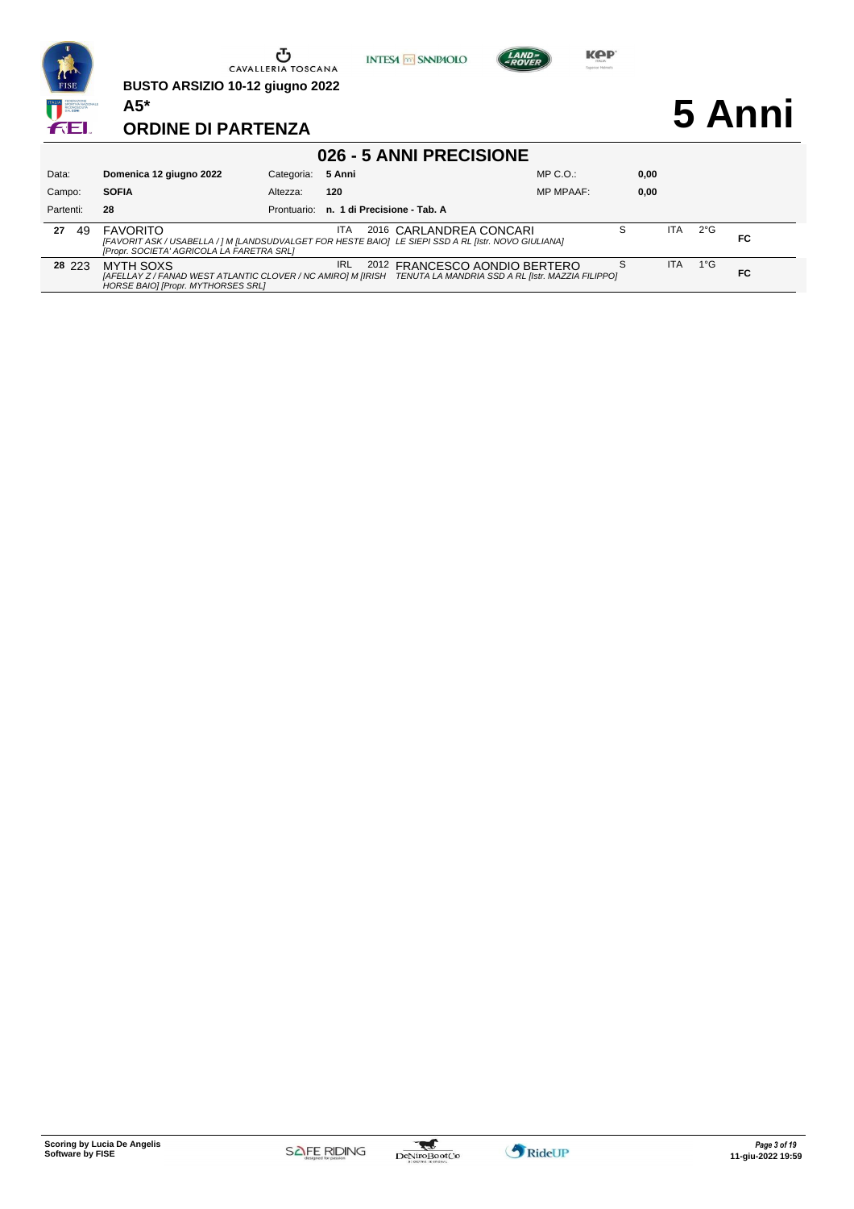

S ITA

**FC**

1°G

**28** 223 MYTH SOXS IRL 2012 FRANCESCO AONDIO BERTERO *[AFELLAY Z / FANAD WEST ATLANTIC CLOVER / NC AMIRO] M [IRISH HORSE BAIO] [Propr. MYTHORSES SRL] TENUTA LA MANDRIA SSD A RL [Istr. MAZZIA FILIPPO]*

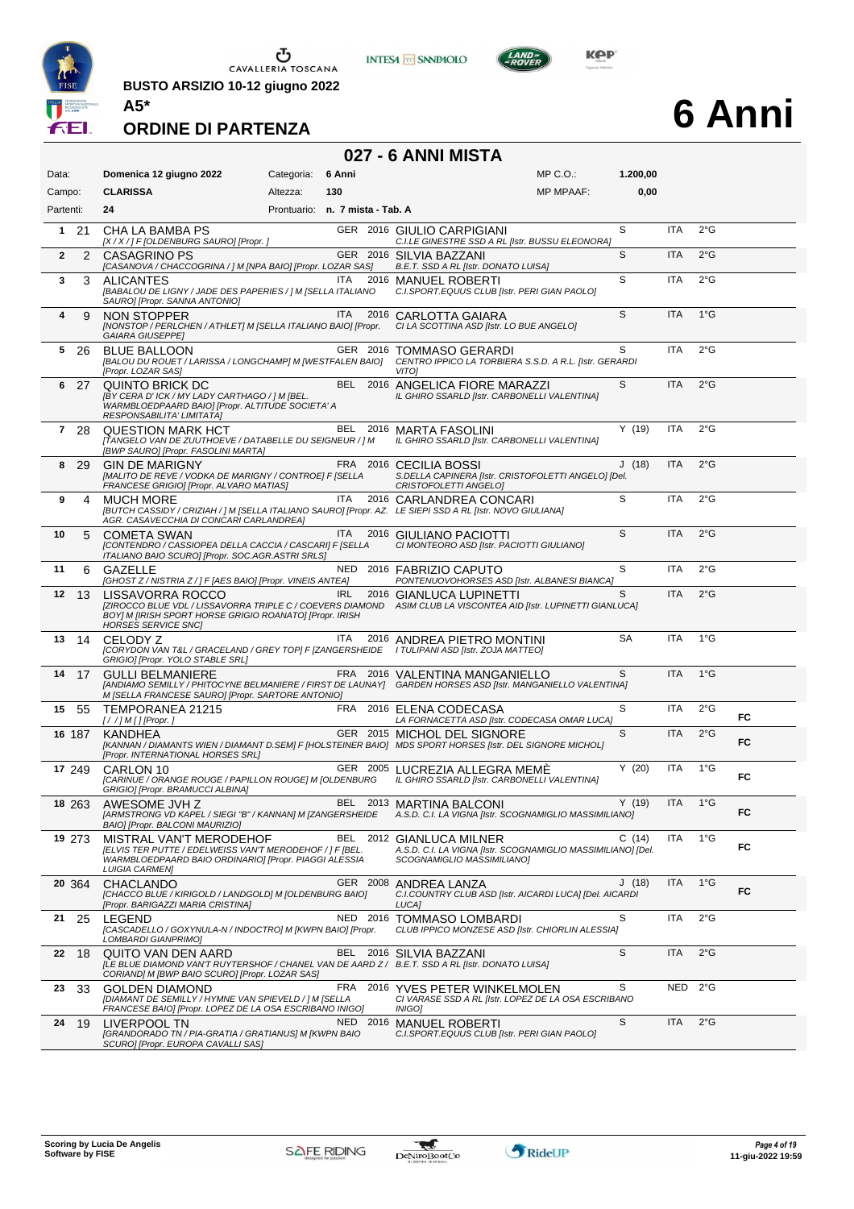

**A5\***

 $\begin{array}{c}\n\bullet \\
\bullet \\
\bullet \\
\bullet\n\end{array}$  CAVALLERIA TOSCANA

**BUSTO ARSIZIO 10-12 giugno 2022**



 $L$ AND

**027 - 6 ANNI MISTA**



# **6 Anni**

| Data:             | Domenica 12 giugno 2022                                                                                                                                               | Categoria: | 6 Anni                          | MP C. O.                                                                                                                                     | 1.200,00  |            |               |     |
|-------------------|-----------------------------------------------------------------------------------------------------------------------------------------------------------------------|------------|---------------------------------|----------------------------------------------------------------------------------------------------------------------------------------------|-----------|------------|---------------|-----|
| Campo:            | <b>CLARISSA</b>                                                                                                                                                       | Altezza:   | 130                             | <b>MP MPAAF:</b>                                                                                                                             | 0,00      |            |               |     |
| Partenti:         | 24                                                                                                                                                                    |            | Prontuario: n. 7 mista - Tab. A |                                                                                                                                              |           |            |               |     |
| $1 \t21$          | CHA LA BAMBA PS<br>[X / X / ] F [OLDENBURG SAURO] [Propr. ]                                                                                                           |            |                                 | GER 2016 GIULIO CARPIGIANI<br>C.I.LE GINESTRE SSD A RL [Istr. BUSSU ELEONORA]                                                                | S         | <b>ITA</b> | $2^{\circ}$ G |     |
| $\mathbf{2}$<br>2 | <b>CASAGRINO PS</b><br>[CASANOVA / CHACCOGRINA / ] M [NPA BAIO] [Propr. LOZAR SAS]                                                                                    |            |                                 | GER 2016 SILVIA BAZZANI<br>B.E.T. SSD A RL [Istr. DONATO LUISA]                                                                              | S         | <b>ITA</b> | $2^{\circ}$ G |     |
| 3<br>3            | <b>ALICANTES</b><br>[BABALOU DE LIGNY / JADE DES PAPERIES / ] M [SELLA ITALIANO<br>SAURO] [Propr. SANNA ANTONIO]                                                      |            | ITA.                            | 2016 MANUEL ROBERTI<br>C.I.SPORT.EQUUS CLUB [Istr. PERI GIAN PAOLO]                                                                          | S         | <b>ITA</b> | $2^{\circ}$ G |     |
| 4<br>9            | NON STOPPER<br>[NONSTOP / PERLCHEN / ATHLET] M [SELLA ITALIANO BAIO] [Propr.<br><b>GAIARA GIUSEPPE]</b>                                                               |            | <b>ITA</b>                      | 2016 CARLOTTA GAIARA<br>CI LA SCOTTINA ASD [Istr. LO BUE ANGELO]                                                                             | S         | <b>ITA</b> | $1^{\circ}$ G |     |
| 5<br>26           | <b>BLUE BALLOON</b><br>[BALOU DU ROUET / LARISSA / LONGCHAMP] M [WESTFALEN BAIO]<br>[Propr. LOZAR SAS]                                                                |            | GER 2016                        | <b>TOMMASO GERARDI</b><br>CENTRO IPPICO LA TORBIERA S.S.D. A R.L. [Istr. GERARDI<br><b>VITOI</b>                                             | S         | ITA        | $2^{\circ}$ G |     |
| -27<br>6          | QUINTO BRICK DC<br>[BY CERA D' ICK / MY LADY CARTHAGO / ] M [BEL.<br>WARMBLOEDPAARD BAIO] [Propr. ALTITUDE SOCIETA' A<br>RESPONSABILITA' LIMITATA]                    |            |                                 | BEL 2016 ANGELICA FIORE MARAZZI<br>IL GHIRO SSARLD [Istr. CARBONELLI VALENTINA]                                                              | S         | <b>ITA</b> | $2^{\circ}$ G |     |
| 7<br>-28          | <b>QUESTION MARK HCT</b><br>[TANGELO VAN DE ZUUTHOEVE / DATABELLE DU SEIGNEUR / ] M<br>[BWP SAURO] [Propr. FASOLINI MARTA]                                            |            |                                 | BEL 2016 MARTA FASOLINI<br>IL GHIRO SSARLD [Istr. CARBONELLI VALENTINA]                                                                      | Y(19)     | ITA        | $2^{\circ}$ G |     |
| 29<br>8           | <b>GIN DE MARIGNY</b><br>[MALITO DE REVE / VODKA DE MARIGNY / CONTROE] F [SELLA<br>FRANCESE GRIGIO] [Propr. ALVARO MATIAS]                                            |            |                                 | FRA 2016 CECILIA BOSSI<br>S.DELLA CAPINERA [Istr. CRISTOFOLETTI ANGELO] [Del.<br>CRISTOFOLETTI ANGELOJ                                       | J(18)     | <b>ITA</b> | $2^{\circ}$ G |     |
| 9<br>4            | <b>MUCH MORE</b><br>AGR. CASAVECCHIA DI CONCARI CARLANDREAI                                                                                                           |            | ITA.                            | 2016 CARLANDREA CONCARI<br>[BUTCH CASSIDY / CRIZIAH / ] M [SELLA ITALIANO SAURO] [Propr. AZ. LE SIEPI SSD A RL [Istr. NOVO GIULIANA]         | S         | <b>ITA</b> | $2^{\circ}$ G |     |
| 10<br>5           | <b>COMETA SWAN</b><br>[CONTENDRO / CASSIOPEA DELLA CACCIA / CASCARI] F [SELLA<br>ITALIANO BAIO SCURO] [Propr. SOC.AGR.ASTRI SRLS]                                     |            | ITA.                            | 2016 GIULIANO PACIOTTI<br>CI MONTEORO ASD [Istr. PACIOTTI GIULIANO]                                                                          | S         | <b>ITA</b> | $2^{\circ}$ G |     |
| 11<br>6           | GAZELLE<br>[GHOST Z / NISTRIA Z / ] F [AES BAIO] [Propr. VINEIS ANTEA]                                                                                                |            |                                 | NED 2016 FABRIZIO CAPUTO<br>PONTENUOVOHORSES ASD [Istr. ALBANESI BIANCA]                                                                     | S         | <b>ITA</b> | $2^{\circ}$ G |     |
| 12<br>-13         | LISSAVORRA ROCCO<br>BOY] M [IRISH SPORT HORSE GRIGIO ROANATO] [Propr. IRISH<br><b>HORSES SERVICE SNCJ</b>                                                             |            | <b>IRL</b>                      | 2016 GIANLUCA LUPINETTI<br>[ZIROCCO BLUE VDL / LISSAVORRA TRIPLE C / COEVERS DIAMOND ASIM CLUB LA VISCONTEA AID [Istr. LUPINETTI GIANLUCA]   | S         | <b>ITA</b> | $2^{\circ}$ G |     |
| 13<br>14          | CELODY Z<br>GRIGIO] [Propr. YOLO STABLE SRL]                                                                                                                          |            | ITA                             | 2016 ANDREA PIETRO MONTINI<br>[CORYDON VAN T&L / GRACELAND / GREY TOP] F [ZANGERSHEIDE I TULIPANI ASD [Istr. ZOJA MATTEO]                    | <b>SA</b> | <b>ITA</b> | $1^{\circ}$ G |     |
| 14<br>- 17        | <b>GULLI BELMANIERE</b><br>M [SELLA FRANCESE SAURO] [Propr. SARTORE ANTONIO]                                                                                          |            |                                 | FRA 2016 VALENTINA MANGANIELLO<br>[ANDIAMO SEMILLY / PHITOCYNE BELMANIERE / FIRST DE LAUNAY] GARDEN HORSES ASD [Istr. MANGANIELLO VALENTINA] | S         | <b>ITA</b> | $1^{\circ}$ G |     |
| 55<br>15          | TEMPORANEA 21215<br>$[!//]M[]$ [Propr.]                                                                                                                               |            |                                 | FRA 2016 ELENA CODECASA<br>LA FORNACETTA ASD [Istr. CODECASA OMAR LUCA]                                                                      | S         | <b>ITA</b> | $2^{\circ}$ G | FC  |
| 16 187            | <b>KANDHEA</b><br>[Propr. INTERNATIONAL HORSES SRL]                                                                                                                   |            |                                 | GER 2015 MICHOL DEL SIGNORE<br>[KANNAN / DIAMANTS WIEN / DIAMANT D.SEM] F [HOLSTEINER BAIO] MDS SPORT HORSES [Istr. DEL SIGNORE MICHOL]      | S         | <b>ITA</b> | 2°G           | FC. |
| 17 249            | CARLON 10<br>[CARINUE / ORANGE ROUGE / PAPILLON ROUGE] M [OLDENBURG<br>GRIGIO] [Propr. BRAMUCCI ALBINA]                                                               |            |                                 | GER 2005 LUCREZIA ALLEGRA MEMÉ<br>IL GHIRO SSARLD [Istr. CARBONELLI VALENTINA]                                                               | Y(20)     | <b>ITA</b> | $1^{\circ}G$  | FC  |
| 18 263            | AWESOME JVH Z<br>[ARMSTRONG VD KAPEL / SIEGI "B" / KANNAN] M [ZANGERSHEIDE<br>BAIO] [Propr. BALCONI MAURIZIO]                                                         |            |                                 | BEL 2013 MARTINA BALCONI<br>A.S.D. C.I. LA VIGNA [Istr. SCOGNAMIGLIO MASSIMILIANO]                                                           | Y(19)     | <b>ITA</b> | $1^{\circ}$ G | FC  |
| 19 273            | MISTRAL VAN'T MERODEHOF<br>[ELVIS TER PUTTE / EDELWEISS VAN'T MERODEHOF / ] F [BEL.<br>WARMBLOEDPAARD BAIO ORDINARIO] [Propr. PIAGGI ALESSIA<br><b>LUIGIA CARMEN]</b> |            |                                 | BEL 2012 GIANLUCA MILNER<br>A.S.D. C.I. LA VIGNA [Istr. SCOGNAMIGLIO MASSIMILIANO] [Del.<br>SCOGNAMIGLIO MASSIMILIANO]                       | C(14)     | <b>ITA</b> | $1^{\circ}$ G | FC  |
| 20 364            | <b>CHACLANDO</b><br>[CHACCO BLUE / KIRIGOLD / LANDGOLD] M [OLDENBURG BAIO]<br>[Propr. BARIGAZZI MARIA CRISTINA]                                                       |            |                                 | GER 2008 ANDREA LANZA<br>C.I.COUNTRY CLUB ASD [Istr. AICARDI LUCA] [Del. AICARDI<br>LUCA]                                                    | J(18)     | ITA        | 1°G           | FC  |
| 21<br>25          | LEGEND<br>[CASCADELLO / GOXYNULA-N / INDOCTRO] M [KWPN BAIO] [Propr.<br>LOMBARDI GIANPRIMO]                                                                           |            |                                 | NED 2016 TOMMASO LOMBARDI<br>CLUB IPPICO MONZESE ASD [Istr. CHIORLIN ALESSIA]                                                                | S         | ITA        | 2°G           |     |
| 22 18             | QUITO VAN DEN AARD<br>CORIAND] M [BWP BAIO SCURO] [Propr. LOZAR SAS]                                                                                                  |            |                                 | BEL 2016 SILVIA BAZZANI<br>[LE BLUE DIAMOND VAN'T RUYTERSHOF / CHANEL VAN DE AARD Z / B.E.T. SSD A RL [Istr. DONATO LUISA]                   | S         | ITA        | $2^{\circ}$ G |     |
| 23<br>33          | <b>GOLDEN DIAMOND</b><br>[DIAMANT DE SEMILLY / HYMNE VAN SPIEVELD / ] M [SELLA<br>FRANCESE BAIO] [Propr. LOPEZ DE LA OSA ESCRIBANO INIGO]                             |            | FRA                             | 2016 YVES PETER WINKELMOLEN<br>CI VARASE SSD A RL [Istr. LOPEZ DE LA OSA ESCRIBANO<br><i><b>INIGO]</b></i>                                   | S         | NED        | $2^{\circ}$ G |     |
| 24<br>19          | LIVERPOOL TN<br>[GRANDORADO TN / PIA-GRATIA / GRATIANUS] M [KWPN BAIO<br>SCURO] [Propr. EUROPA CAVALLI SAS]                                                           |            |                                 | NED 2016 MANUEL ROBERTI<br>C.I.SPORT.EQUUS CLUB [Istr. PERI GIAN PAOLO]                                                                      | S         | <b>ITA</b> | $2^{\circ}$ G |     |

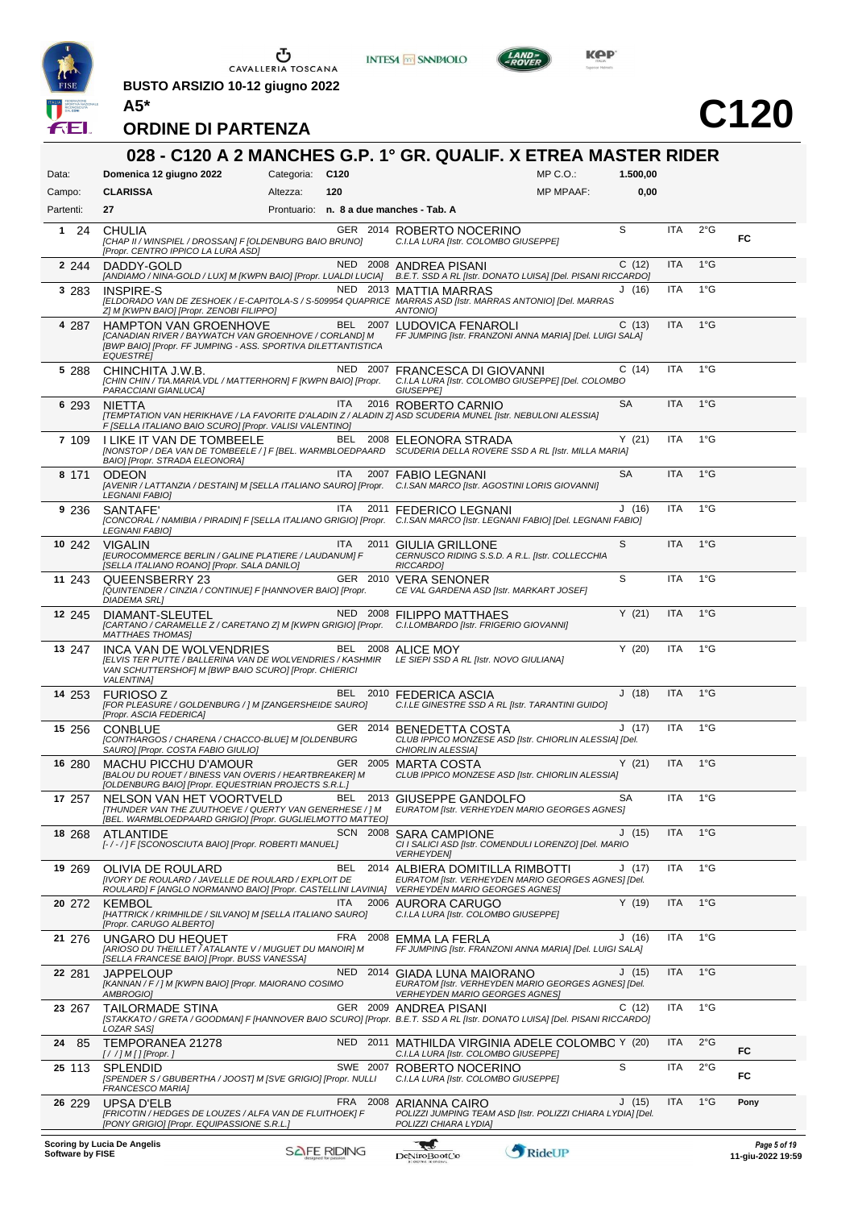

 $\begin{array}{c}\n\bullet \\
\bullet \\
\bullet \\
\bullet\n\end{array}$  CAVALLERIA TOSCANA

**BUSTO ARSIZIO 10-12 giugno 2022**



**INTESA M** SANPAOLO



# **C120**

|                  |                                                                                                                                                                            |                 |                                         | 028 - C120 A 2 MANCHES G.P. 1° GR. QUALIF. X ETREA MASTER RIDER                                                                                         |           |            |               |                                   |
|------------------|----------------------------------------------------------------------------------------------------------------------------------------------------------------------------|-----------------|-----------------------------------------|---------------------------------------------------------------------------------------------------------------------------------------------------------|-----------|------------|---------------|-----------------------------------|
| Data:            | Domenica 12 giugno 2022                                                                                                                                                    | Categoria: C120 |                                         | $MP C. O.$ :                                                                                                                                            | 1.500,00  |            |               |                                   |
| Campo:           | <b>CLARISSA</b>                                                                                                                                                            | Altezza:        | 120                                     | <b>MP MPAAF:</b>                                                                                                                                        | 0,00      |            |               |                                   |
| Partenti:        | 27                                                                                                                                                                         |                 | Prontuario: n. 8 a due manches - Tab. A |                                                                                                                                                         |           |            |               |                                   |
| 124              | <b>CHULIA</b><br>[CHAP II / WINSPIEL / DROSSAN] F [OLDENBURG BAIO BRUNO]<br>[Propr. CENTRO IPPICO LA LURA ASD]                                                             |                 |                                         | GER 2014 ROBERTO NOCERINO<br>C.I.LA LURA [Istr. COLOMBO GIUSEPPE]                                                                                       | S         | <b>ITA</b> | $2^{\circ}$ G | FC                                |
| 2 2 4 4          | DADDY-GOLD<br>[ANDIAMO / NINA-GOLD / LUX] M [KWPN BAIO] [Propr. LUALDI LUCIA]                                                                                              |                 |                                         | NED 2008 ANDREA PISANI<br>B.E.T. SSD A RL [Istr. DONATO LUISA] [Del. PISANI RICCARDO]                                                                   | C(12)     | <b>ITA</b> | $1^{\circ}$ G |                                   |
| 3 2 8 3          | <b>INSPIRE-S</b><br>Z] M [KWPN BAIO] [Propr. ZENOBI FILIPPO]                                                                                                               |                 |                                         | NED 2013 MATTIA MARRAS<br>[ELDORADO VAN DE ZESHOEK / E-CAPITOLA-S / S-509954 QUAPRICE MARRAS ASD [Istr. MARRAS ANTONIO] [Del. MARRAS<br><b>ANTONIOI</b> | J(16)     | <b>ITA</b> | $1^{\circ}$ G |                                   |
| 4 287            | <b>HAMPTON VAN GROENHOVE</b><br>[CANADIAN RIVER / BAYWATCH VAN GROENHOVE / CORLAND] M<br>[BWP BAIO] [Propr. FF JUMPING - ASS. SPORTIVA DILETTANTISTICA<br><b>EQUESTREI</b> |                 |                                         | BEL 2007 LUDOVICA FENAROLI<br>FF JUMPING [Istr. FRANZONI ANNA MARIA] [Del. LUIGI SALA]                                                                  | C(13)     | ITA        | $1^{\circ}$ G |                                   |
| 5 288            | CHINCHITA J.W.B.<br>[CHIN CHIN / TIA.MARIA.VDL / MATTERHORN] F [KWPN BAIO] [Propr.<br>PARACCIANI GIANLUCA]                                                                 |                 | NED 2007                                | <b>FRANCESCA DI GIOVANNI</b><br>C.I.LA LURA [Istr. COLOMBO GIUSEPPE] [Del. COLOMBO<br>GIUSEPPE]                                                         | C(14)     | ITA        | $1^{\circ}$ G |                                   |
| 6 293            | <b>NIETTA</b><br>F [SELLA ITALIANO BAIO SCURO] [Propr. VALISI VALENTINO]                                                                                                   |                 | <b>ITA</b>                              | 2016 ROBERTO CARNIO<br>[TEMPTATION VAN HERIKHAVE / LA FAVORITE D'ALADIN Z / ALADIN Z] ASD SCUDERIA MUNEL [Istr. NEBULONI ALESSIA]                       | <b>SA</b> | <b>ITA</b> | $1^{\circ}$ G |                                   |
| 7 109            | I LIKE IT VAN DE TOMBEELE<br>BAIO] [Propr. STRADA ELEONORA]                                                                                                                |                 | BEL                                     | 2008 ELEONORA STRADA<br>[NONSTOP / DEA VAN DE TOMBEELE / ] F [BEL. WARMBLOEDPAARD SCUDERIA DELLA ROVERE SSD A RL [Istr. MILLA MARIA]                    | Y(21)     | ITA        | $1^{\circ}$ G |                                   |
| 8 171            | <b>ODEON</b><br>LEGNANI FABIO]                                                                                                                                             |                 | <b>ITA</b>                              | 2007 FABIO LEGNANI<br>[AVENIR / LATTANZIA / DESTAIN] M [SELLA ITALIANO SAURO] [Propr. C.I.SAN MARCO [Istr. AGOSTINI LORIS GIOVANNI]                     | <b>SA</b> | <b>ITA</b> | $1^{\circ}$ G |                                   |
| 9 236            | SANTAFE'<br><b>LEGNANI FABIO]</b>                                                                                                                                          |                 | ITA                                     | 2011 FEDERICO LEGNANI<br>[CONCORAL / NAMIBIA / PIRADIN] F [SELLA ITALIANO GRIGIO] [Propr. C.I.SAN MARCO [Istr. LEGNANI FABIO] [Del. LEGNANI FABIO]      | J(16)     | <b>ITA</b> | $1^{\circ}$ G |                                   |
| 10 242           | <b>VIGALIN</b><br>[EUROCOMMERCE BERLIN / GALINE PLATIERE / LAUDANUM] F<br>[SELLA ITALIANO ROANO] [Propr. SALA DANILO]                                                      |                 | <b>ITA</b>                              | 2011 GIULIA GRILLONE<br>CERNUSCO RIDING S.S.D. A R.L. [Istr. COLLECCHIA<br>RICCARDO]                                                                    | S         | <b>ITA</b> | $1^{\circ}$ G |                                   |
| 11 243           | QUEENSBERRY 23<br>[QUINTENDER / CINZIA / CONTINUE] F [HANNOVER BAIO] [Propr.<br><b>DIADEMA SRL]</b>                                                                        |                 |                                         | GER 2010 VERA SENONER<br>CE VAL GARDENA ASD [Istr. MARKART JOSEF]                                                                                       | S         | ITA        | $1^{\circ}$ G |                                   |
| 12 245           | DIAMANT-SLEUTEL<br><b>MATTHAES THOMAS]</b>                                                                                                                                 |                 |                                         | NED 2008 FILIPPO MATTHAES<br>[CARTANO / CARAMELLE Z / CARETANO Z] M [KWPN GRIGIO] [Propr. C.I.LOMBARDO [Istr. FRIGERIO GIOVANNI]                        | Y(21)     | <b>ITA</b> | $1^{\circ}$ G |                                   |
| 13 247           | INCA VAN DE WOLVENDRIES<br><b>JELVIS TER PUTTE / BALLERINA VAN DE WOLVENDRIES / KASHMIR</b><br>VAN SCHUTTERSHOF  M [BWP BAIO SCURO] [Propr. CHIERICI<br><b>VALENTINA1</b>  |                 |                                         | BEL 2008 ALICE MOY<br>LE SIEPI SSD A RL [Istr. NOVO GIULIANA]                                                                                           | Y(20)     | <b>ITA</b> | $1^{\circ}$ G |                                   |
| 14 253           | <b>FURIOSOZ</b><br>[FOR PLEASURE / GOLDENBURG / ] M [ZANGERSHEIDE SAURO]<br>[Propr. ASCIA FEDERICA]                                                                        |                 | <b>BEL</b>                              | 2010 FEDERICA ASCIA<br>C.I.LE GINESTRE SSD A RL [Istr. TARANTINI GUIDO]                                                                                 | J(18)     | <b>ITA</b> | $1^{\circ}$ G |                                   |
| 15 256           | <b>CONBLUE</b><br>[CONTHARGOS / CHARENA / CHACCO-BLUE] M [OLDENBURG<br>SAURO] [Propr. COSTA FABIO GIULIO]                                                                  |                 |                                         | GER 2014 BENEDETTA COSTA<br>CLUB IPPICO MONZESE ASD [Istr. CHIORLIN ALESSIA] [Del.<br>CHIORLIN ALESSIA]                                                 | J(17)     | ITA        | $1^{\circ}G$  |                                   |
| 16 280           | <b>MACHU PICCHU D'AMOUR</b><br>[BALOU DU ROUET / BINESS VAN OVERIS / HEARTBREAKER] M<br>[OLDENBURG BAIO] [Propr. EQUESTRIAN PROJECTS S.R.L.]                               |                 |                                         | GER 2005 MARTA COSTA<br>CLUB IPPICO MONZESE ASD [Istr. CHIORLIN ALESSIA]                                                                                | Y(21)     | <b>ITA</b> | $1^{\circ}$ G |                                   |
| 17 257           | NELSON VAN HET VOORTVELD<br>[THUNDER VAN THE ZUUTHOEVE / QUERTY VAN GENERHESE / ] M<br>[BEL. WARMBLOEDPAARD GRIGIO] [Propr. GUGLIELMOTTO MATTEO]                           |                 | BEL                                     | 2013 GIUSEPPE GANDOLFO<br>EURATOM [Istr. VERHEYDEN MARIO GEORGES AGNES]                                                                                 | SA        | ITA        | 1°G           |                                   |
| 18 268           | ATLANTIDE<br>[-/-/] F [SCONOSCIUTA BAIO] [Propr. ROBERTI MANUEL]                                                                                                           |                 |                                         | SCN 2008 SARA CAMPIONE<br>CI I SALICI ASD [Istr. COMENDULI LORENZO] [Del. MARIO<br><b>VERHEYDEN]</b>                                                    | J(15)     | <b>ITA</b> | $1^{\circ}$ G |                                   |
| 19 269           | OLIVIA DE ROULARD<br><b>IIVORY DE ROULARD / JAVELLE DE ROULARD / EXPLOIT DE</b><br>ROULARD] F JANGLO NORMANNO BAIO] [Propr. CASTELLINI LAVINIA]                            |                 | BEL                                     | 2014 ALBIERA DOMITILLA RIMBOTTI<br>EURATOM [Istr. VERHEYDEN MARIO GEORGES AGNES] [Del.<br><b>VERHEYDEN MARIO GEORGES AGNES]</b>                         | J (17)    | ITA        | $1^{\circ}$ G |                                   |
| 20 272           | <b>KEMBOL</b><br>[HATTRICK / KRIMHILDE / SILVANO] M [SELLA ITALIANO SAURO]<br>[Propr. CARUGO ALBERTO]                                                                      |                 | <b>ITA</b><br>2006                      | AURORA CARUGO<br>C.I.LA LURA [Istr. COLOMBO GIUSEPPE]                                                                                                   | Y(19)     | ITA        | $1^{\circ}$ G |                                   |
| 21 276           | UNGARO DU HEQUET<br>[ARIOSO DU THEILLET / ATALANTE V / MUGUET DU MANOIR] M<br>[SELLA FRANCESE BAIO] [Propr. BUSS VANESSA]                                                  |                 | FRA                                     | 2008 EMMA LA FERLA<br>FF JUMPING [Istr. FRANZONI ANNA MARIA] [Del. LUIGI SALA]                                                                          | J (16)    | ITA        | $1^{\circ}$ G |                                   |
| 22 281           | JAPPELOUP<br>[KANNAN / F / ] M [KWPN BAIO] [Propr. MAIORANO COSIMO<br>AMBROGIO]                                                                                            |                 |                                         | NED 2014 GIADA LUNA MAIORANO<br>EURATOM [Istr. VERHEYDEN MARIO GEORGES AGNES] [Del.<br><b>VERHEYDEN MARIO GEORGES AGNES]</b>                            | J (15)    | <b>ITA</b> | 1°G           |                                   |
| 23 267           | TAILORMADE STINA<br>LOZAR SAS]                                                                                                                                             |                 |                                         | GER 2009 ANDREA PISANI<br>[STAKKATO / GRETA / GOODMAN] F [HANNOVER BAIO SCURO] [Propr.  B.E.T. SSD A RL [Istr. DONATO LUISA] [Del. PISANI RICCARDO]     | C(12)     | ITA        | $1^{\circ}$ G |                                   |
| 85<br>24         | TEMPORANEA 21278                                                                                                                                                           |                 |                                         | NED 2011 MATHILDA VIRGINIA ADELE COLOMBC Y (20)<br>C.I.LA LURA [Istr. COLOMBO GIUSEPPE]                                                                 |           | ITA        | $2^{\circ}$ G | FC                                |
| 25 113           | <b>SPLENDID</b><br>[SPENDER S / GBUBERTHA / JOOST] M [SVE GRIGIO] [Propr. NULLI<br>FRANCESCO MARIA]                                                                        |                 | SWE 2007                                | ROBERTO NOCERINO<br>C.I.LA LURA [Istr. COLOMBO GIUSEPPE]                                                                                                | S         | ITA        | $2^{\circ}$ G | FC                                |
| 26 229           | <b>UPSA D'ELB</b><br>[FRICOTIN / HEDGES DE LOUZES / ALFA VAN DE FLUITHOEK] F<br>[PONY GRIGIO] [Propr. EQUIPASSIONE S.R.L.]                                                 |                 |                                         | FRA 2008 ARIANNA CAIRO<br>POLIZZI JUMPING TEAM ASD [Istr. POLIZZI CHIARA LYDIA] [Del.<br>POLIZZI CHIARA LYDIA]                                          | J(15)     | <b>ITA</b> | $1^{\circ}$ G | Pony                              |
| Software by FISE | <b>Scoring by Lucia De Angelis</b>                                                                                                                                         |                 | <b>SAFE RIDING</b>                      | ₹€<br>RideUP<br>DeNiroBootCo                                                                                                                            |           |            |               | Page 5 of 19<br>11-giu-2022 19:59 |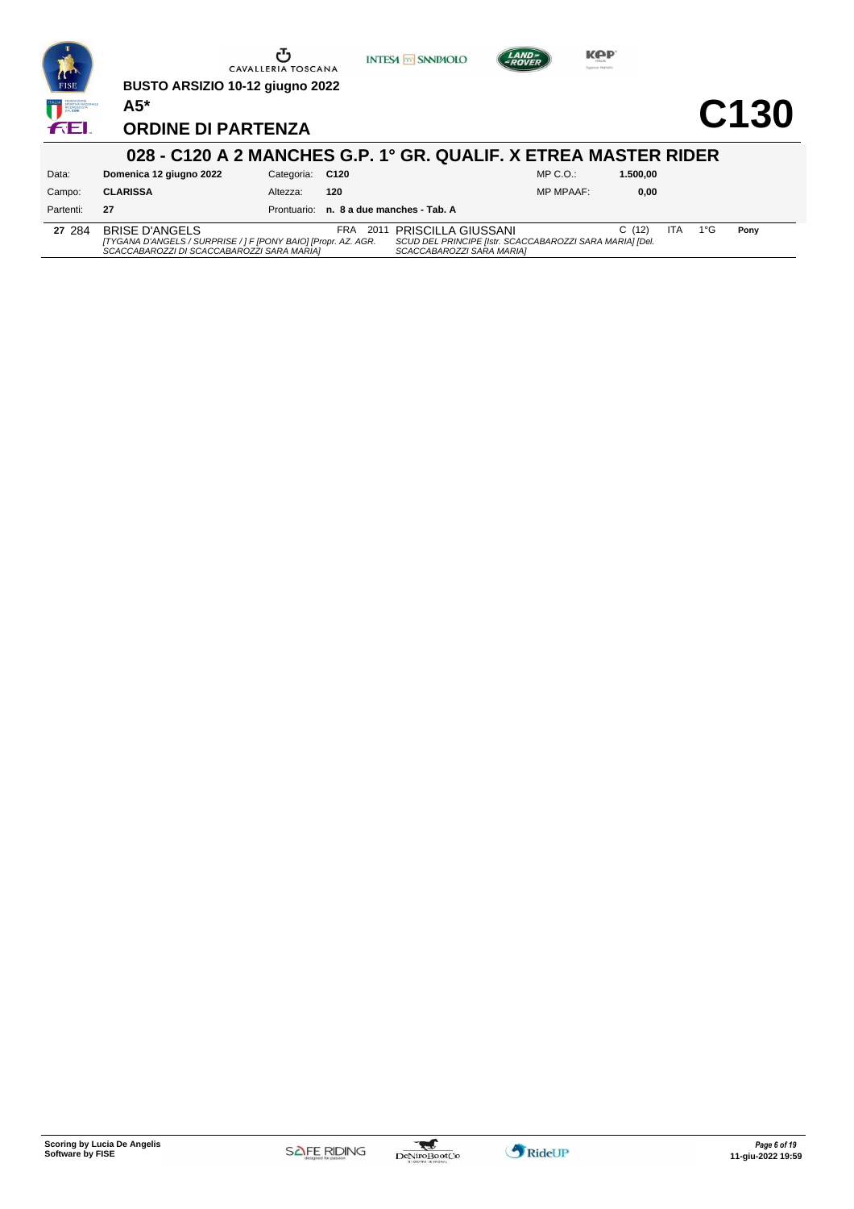

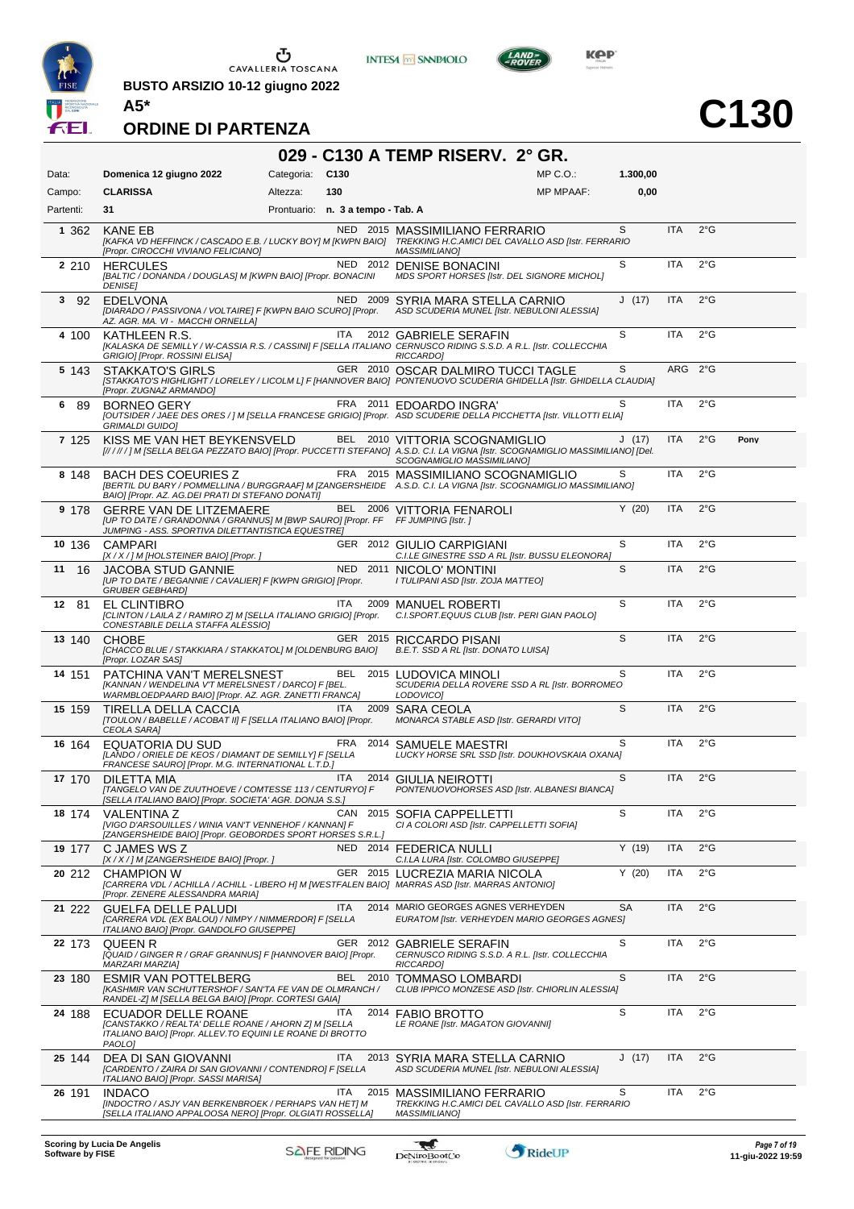

CAVALLERIA TOSCANA

**BUSTO ARSIZIO 10-12 giugno 2022**



**C130**

#### **ORDINE DI PARTENZA**

#### **029 - C130 A TEMP RISERV. 2° GR.** Data: **Domenica 12 giugno 2022** Categoria: C130 Prontuario: **n. 3 a tempo - Tab. A** Campo: **CLARISSA** Partenti: **31** Altezza: **130**  $MP \cap O$ MP MPAAF: **1.300,00 0,00 1** 362 KANE EB NED 2015 MASSIMILIANO FERRARIO *[KAFKA VD HEFFINCK / CASCADO E.B. / LUCKY BOY] M [KWPN BAIO] [Propr. CIROCCHI VIVIANO FELICIANO] TREKKING H.C.AMICI DEL CAVALLO ASD [Istr. FERRARIO MASSIMILIANO]* ITA 2°G **2** 210 HERCULES NED 2012 DENISE BONACINI *[BALTIC / DONANDA / DOUGLAS] M [KWPN BAIO] [Propr. BONACINI DENISE] MDS SPORT HORSES [Istr. DEL SIGNORE MICHOL]* S ITA 2°G NED 2009 SYRIA MARA STELLA CARNIO<br>IDIARADO / PASSIVONA / VOLTAIRE] F [KWPN BAIO SCURO] [Propr. ASD SCUDERIA MUNEL [Istr. NEBULONI ALESSIA] *[DIARADO / PASSIVONA / VOLTAIRE] F [KWPN BAIO SCURO] [Propr. AZ. AGR. MA. VI - MACCHI ORNELLA]* J (17) ITA 2°G ITA 2012 GABRIELE SERAFIN<br>KALASKA DE SEMILLY / W-CASSIA R.S. / CASSINI] F [SELLA ITALIANO CERNUSCO RIDING S.S.D. A R.L. [Istr. COLLECCHIA]<br>RICCARDO] S ITA 2°G **5** 143 STAKKATO'S GIRLS GER 2010 OSCAR DALMIRO TUCCI TAGLE *[STAKKATO'S HIGHLIGHT / LORELEY / LICOLM L] F [HANNOVER BAIO] PONTENUOVO SCUDERIA GHIDELLA [Istr. GHIDELLA CLAUDIA] [Propr. ZUGNAZ ARMANDO]* S ARG 2°G **6** 89 BORNEO GERY FRA 2011 EDOARDO INGRA' *[OUTSIDER / JAEE DES ORES / ] M [SELLA FRANCESE GRIGIO] [Propr. ASD SCUDERIE DELLA PICCHETTA [Istr. VILLOTTI ELIA] GRIMALDI GUIDO]*  $ITA$   $2^{\circ}G$ 7 125 KISS ME VAN HET BEYKENSVELD BEL 2010 VITTORIA SCOGNAMIGLIO J (17)<br>[/////]m[sella belga pezzato baio][Propr. puccetti stefano] a.s.d. c.i. la vigna [ist. J (17) ITA 2°G **Pony 8** 148 BACH DES COEURIES Z FRA 2015 MASSIMILIANO SCOGNAMIGLIO *[BERTIL DU BARY / POMMELLINA / BURGGRAAF] M [ZANGERSHEIDE BAIO] [Propr. AZ. AG.DEI PRATI DI STEFANO DONATI] A.S.D. C.I. LA VIGNA [Istr. SCOGNAMIGLIO MASSIMILIANO]* S ITA 2°G **9** 178 GERRE VAN DE LITZEMAERE BEL 2006 VITTORIA FENAROLI<br>*[UP TO DATE / GRANDONNA / GRANNUS] M [BWP SAURO] [Propr. FF FF JUMPING [Istr. ] JUMPING - ASS. SPORTIVA DILETTANTISTICA EQUESTRE]* 2006 **VITTORIA FENAROLI**<br>*pr. FF FF JUMPING [Istr. ]*  $Y (20)$  ITA  $2°G$ **10** 136 CAMPARI GER 2012 GIULIO CARPIGIANI *[X / X / ] M [HOLSTEINER BAIO] [Propr. ] C.I.LE GINESTRE SSD A RL [Istr. BUSSU ELEONORA]*  $S$  ITA  $2^{\circ}G$ 11 16 JACOBA STUD GANNIE NED 2011 NICOLO' MONTINI *[UP TO DATE / BEGANNIE / CAVALIER] F [KWPN GRIGIO] [Propr. GRUBER GEBHARD] I TULIPANI ASD [Istr. ZOJA MATTEO]* S ITA 2°G 12 81 EL CLINTIBRO<br>*[CLINTON / LAILA Z / RAMIRO Z] M [SELLA ITALIANO GRIGIO] [Propr. C.I.SPORT.EQUUS CLUB [Istr. PERI GIAN PAOLO] [CLINTON / LAILA Z / RAMIRO Z] M [SELLA ITALIANO GRIGIO] [Propr. CONESTABILE DELLA STAFFA ALESSIO]*  $S$  ITA  $2^{\circ}G$ **13** 140 CHOBE GER 2015 RICCARDO PISANI *[CHACCO BLUE / STAKKIARA / STAKKATOL] M [OLDENBURG BAIO] [Propr. LOZAR SAS] B.E.T. SSD A RL [Istr. DONATO LUISA]*  $S$  ITA  $2^{\circ}G$ **14** 151 PATCHINA VAN'T MERELSNEST BEL 2015 LUDOVICA MINOLI *[KANNAN / WENDELINA V'T MERELSNEST / DARCO] F [BEL. WARMBLOEDPAARD BAIO] [Propr. AZ. AGR. ZANETTI FRANCA] SCUDERIA DELLA ROVERE SSD A RL [Istr. BORROMEO LODOVICO]*  $S$  ITA  $2^{\circ}G$ 15 159 TIRELLA DELLA CACCIA ITA 2009 SARA CEOLA *[TOULON / BABELLE / ACOBAT II] F [SELLA ITALIANO BAIO] [Propr. CEOLA SARA] MONARCA STABLE ASD [Istr. GERARDI VITO]* S ITA 2°G 16 164 EQUATORIA DU SUD FRA 2014 SAMUELE MAESTRI<br>*[LANDO / ORIELE DE KEOS / DIAMANT DE SEMILLY] F [SELLAUCKY HORSE SRL SSD [Is<br><i>FRANCESE SAURO] [Propr. M.G. INTERNATIONAL L.T.D.] LUCKY HORSE SRL SSD [Istr. DOUKHOVSKAIA OXANA]* S ITA 2°G **17** 170 DILETTA MIA ITA 2014 GIULIA NEIROTTI *PONTENUOVOHORSES ASD [Istr. ALBANESI BIANCA] [TANGELO VAN DE ZUUTHOEVE / COMTESSE 113 / CENTURYO] F [SELLA ITALIANO BAIO] [Propr. SOCIETA' AGR. DONJA S.S.]*  $S$  ITA  $2^{\circ}G$ **18** 174 VALENTINA Z CAN 2015 SOFIA CAPPELLETTI *[VIGO D'ARSOUILLES / WINIA VAN'T VENNEHOF / KANNAN] F [ZANGERSHEIDE BAIO] [Propr. GEOBORDES SPORT HORSES S.R.L.] CI A COLORI ASD [Istr. CAPPELLETTI SOFIA]* S ITA 2°G **19** 177 C JAMES WS Z NED 2014 FEDERICA NULLI *[X / X / ] M [ZANGERSHEIDE BAIO] [Propr. ] C.I.LA LURA [Istr. COLOMBO GIUSEPPE]* Y (19) ITA 2°G **20** 212 CHAMPION W GER 2015 LUCREZIA MARIA NICOLA *[CARRERA VDL / ACHILLA / ACHILL - LIBERO H] M [WESTFALEN BAIO] [Propr. ZENERE ALESSANDRA MARIA] MARRAS ASD [Istr. MARRAS ANTONIO]* Y (20) ITA 2°G **21** 222 GUELFA DELLE PALUDI ITA 2014 MARIO GEORGES AGNES VERHEYDEN *[CARRERA VDL (EX BALOU) / NIMPY / NIMMERDOR] F [SELLA ITALIANO BAIO] [Propr. GANDOLFO GIUSEPPE] EURATOM [Istr. VERHEYDEN MARIO GEORGES AGNES]* SA ITA 2°G **22** 173 QUEEN R GER 2012 GABRIELE SERAFIN *CERNUSCO RIDING S.S.D. A R.L. [Istr. COLLECCHIA [QUAID / GINGER R / GRAF GRANNUS] F [HANNOVER BAIO] [Propr. MARZARI MARZIA] RICCARDO]* S ITA 2°G **23** 180 ESMIR VAN POTTELBERG BEL 2010 TOMMASO LOMBARDI *[KASHMIR VAN SCHUTTERSHOF / SAN'TA FE VAN DE OLMRANCH / RANDEL-Z] M [SELLA BELGA BAIO] [Propr. CORTESI GAIA] CLUB IPPICO MONZESE ASD [Istr. CHIORLIN ALESSIA]* S ITA 2°G **24** 188 ECUADOR DELLE ROANE ITA 2014 FABIO BROTTO *[CANSTAKKO / REALTA' DELLE ROANE / AHORN Z] M [SELLA ITALIANO BAIO] [Propr. ALLEV.TO EQUINI LE ROANE DI BROTTO PAOLO] LE ROANE [Istr. MAGATON GIOVANNI]*  $S$  ITA  $2^{\circ}G$ **25** 144 DEA DI SAN GIOVANNI ITA 2013 SYRIA MARA STELLA CARNIO *[CARDENTO / ZAIRA DI SAN GIOVANNI / CONTENDRO] F [SELLA ITALIANO BAIO] [Propr. SASSI MARISA] ASD SCUDERIA MUNEL [Istr. NEBULONI ALESSIA]* J (17) ITA 2°G **26** 191 INDACO ITA 2015 MASSIMILIANO FERRARIO *[INDOCTRO / ASJY VAN BERKENBROEK / PERHAPS VAN HET] M [SELLA ITALIANO APPALOOSA NERO] [Propr. OLGIATI ROSSELLA] TREKKING H.C.AMICI DEL CAVALLO ASD [Istr. FERRARIO MASSIMILIANO]*  $ITA$   $2^{\circ}G$

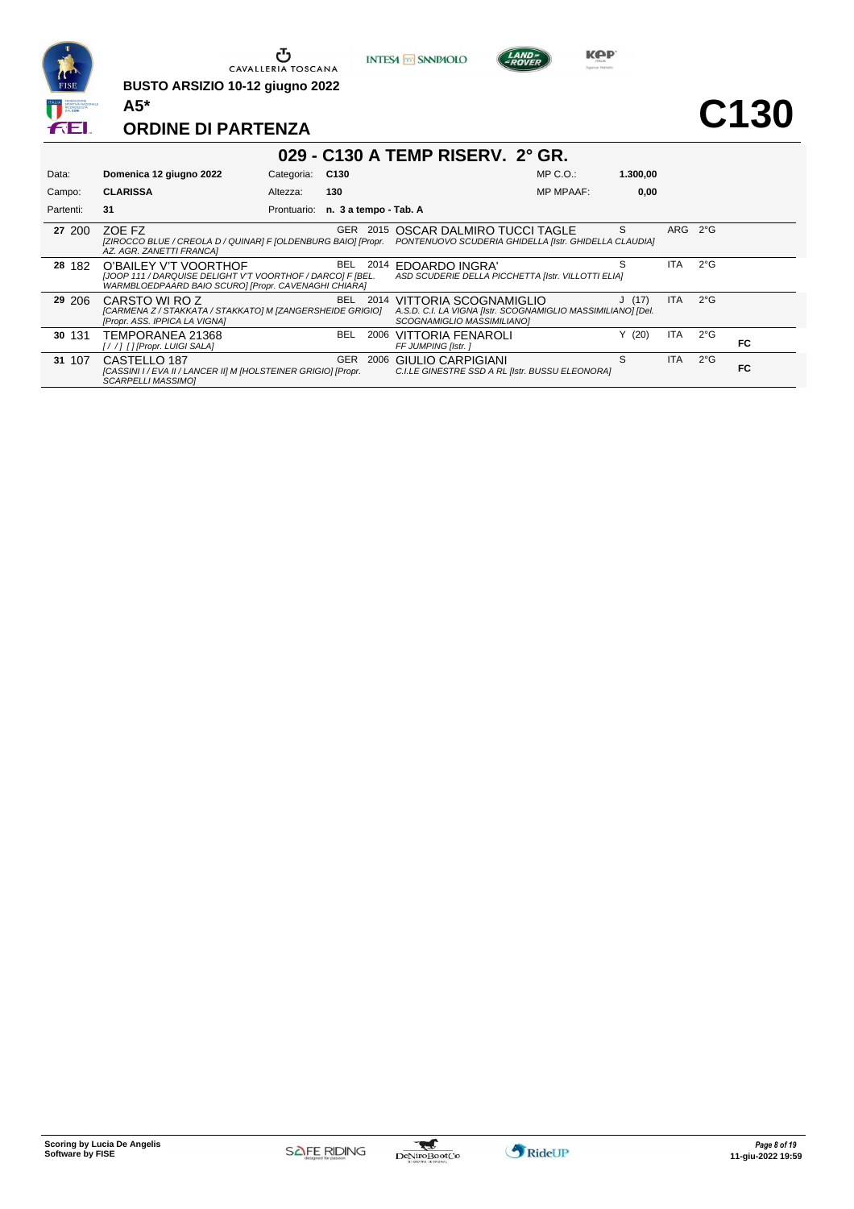

**BUSTO ARSIZIO 10-12 giugno 2022 A5\***





**C130**

| 029 - C130 A TEMP RISERV. 2° GR. |                                                                                                                                             |             |                       |      |                                                                                                                          |                  |          |            |               |    |
|----------------------------------|---------------------------------------------------------------------------------------------------------------------------------------------|-------------|-----------------------|------|--------------------------------------------------------------------------------------------------------------------------|------------------|----------|------------|---------------|----|
| Data:                            | Domenica 12 giugno 2022                                                                                                                     | Categoria:  | C130                  |      |                                                                                                                          | $MP C. O.$ :     | 1.300.00 |            |               |    |
| Campo:                           | <b>CLARISSA</b>                                                                                                                             | Altezza:    | 130                   |      |                                                                                                                          | <b>MP MPAAF:</b> | 0,00     |            |               |    |
| Partenti:                        | 31                                                                                                                                          | Prontuario: | n. 3 a tempo - Tab. A |      |                                                                                                                          |                  |          |            |               |    |
| 27 200                           | ZOE FZ<br>[ZIROCCO BLUE / CREOLA D / QUINAR] F [OLDENBURG BAIO] [Propr.<br>AZ. AGR. ZANETTI FRANCA]                                         |             | GER                   | 2015 | OSCAR DALMIRO TUCCI TAGLE<br>PONTENUOVO SCUDERIA GHIDELLA [Istr. GHIDELLA CLAUDIA]                                       |                  | S        | ARG 2°G    |               |    |
| 28 182                           | O'BAILEY V'T VOORTHOF<br>[JOOP 111 / DARQUISE DELIGHT V'T VOORTHOF / DARCO] F [BEL.<br>WARMBLOEDPAARD BAIO SCURO] [Propr. CAVENAGHI CHIARA] |             | BEL.                  | 2014 | <b>EDOARDO INGRA'</b><br>ASD SCUDERIE DELLA PICCHETTA [Istr. VILLOTTI ELIA]                                              |                  |          | ITA.       | $2^{\circ}$ G |    |
| 29 206                           | CARSTO WI ROZ<br>[CARMENA Z / STAKKATA / STAKKATO] M [ZANGERSHEIDE GRIGIO]<br>[Propr. ASS. IPPICA LA VIGNA]                                 |             | BEL.                  |      | 2014 VITTORIA SCOGNAMIGLIO<br>A.S.D. C.I. LA VIGNA [Istr. SCOGNAMIGLIO MASSIMILIANO] [Del.<br>SCOGNAMIGLIO MASSIMILIANO] |                  | J(17)    | ITA.       | $2^{\circ}$ G |    |
| 30 131                           | TEMPORANEA 21368<br>[//] [] [Propr. LUIGI SALA]                                                                                             |             | <b>BEL</b>            | 2006 | VITTORIA FENAROLI<br>FF JUMPING [Istr.]                                                                                  |                  | Y(20)    | <b>ITA</b> | $2^{\circ}G$  | FC |
| 31 107                           | CASTELLO 187<br>[CASSINI I / EVA II / LANCER II] M [HOLSTEINER GRIGIO] [Propr.<br><b>SCARPELLI MASSIMOI</b>                                 |             | <b>GER</b>            | 2006 | <b>GIULIO CARPIGIANI</b><br>C.I.LE GINESTRE SSD A RL [Istr. BUSSU ELEONORA]                                              |                  | S        | <b>ITA</b> | $2^{\circ}G$  | FC |

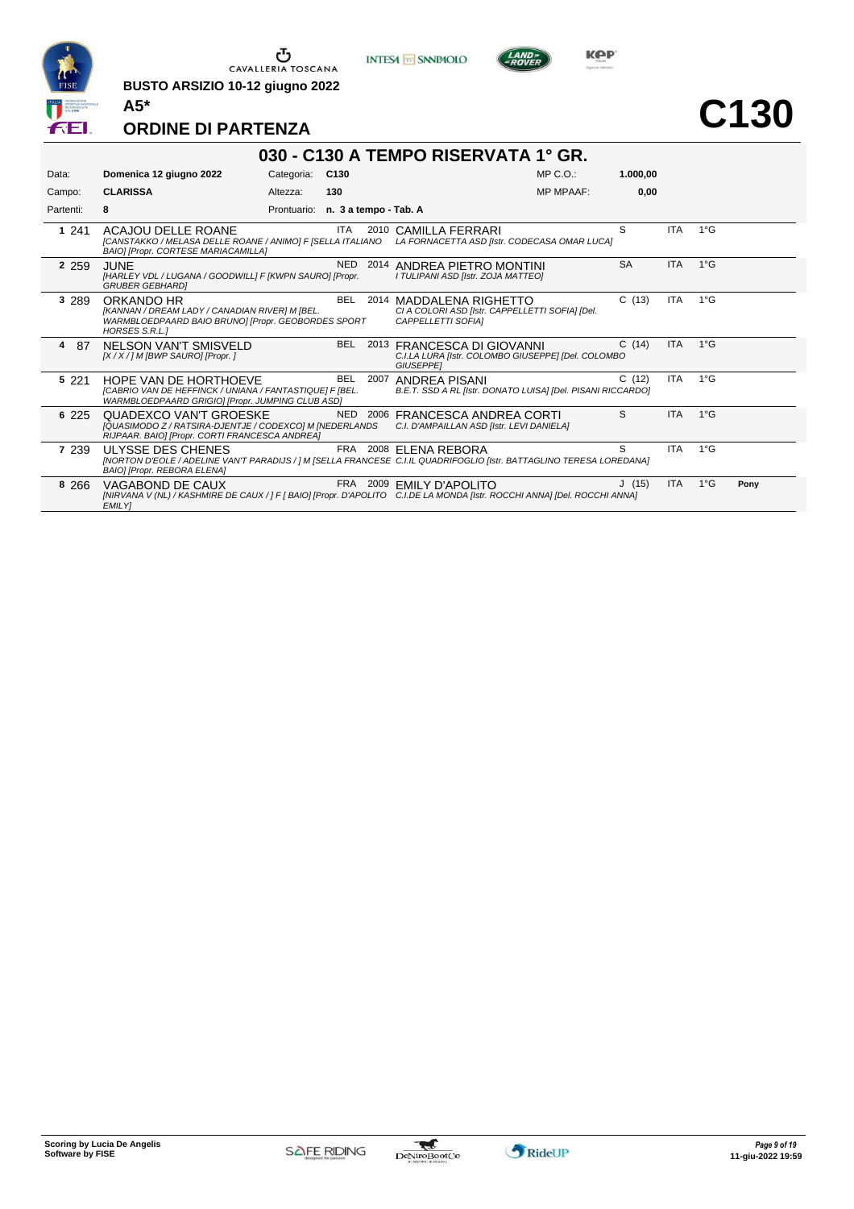

**BUSTO ARSIZIO 10-12 giugno 2022 A5\***





**Kep** 

# **C130**

| 030 - C130 A TEMPO RISERVATA 1° GR. |                                                                                                                                                    |             |                       |      |                                                                                                                                                       |           |            |               |      |  |  |  |
|-------------------------------------|----------------------------------------------------------------------------------------------------------------------------------------------------|-------------|-----------------------|------|-------------------------------------------------------------------------------------------------------------------------------------------------------|-----------|------------|---------------|------|--|--|--|
| Data:                               | Domenica 12 giugno 2022                                                                                                                            | Categoria:  | C130                  |      | $MP C. O.$ :                                                                                                                                          | 1.000,00  |            |               |      |  |  |  |
| Campo:                              | <b>CLARISSA</b>                                                                                                                                    | Altezza:    | 130                   |      | <b>MP MPAAF:</b>                                                                                                                                      | 0.00      |            |               |      |  |  |  |
| Partenti:                           | 8                                                                                                                                                  | Prontuario: | n. 3 a tempo - Tab. A |      |                                                                                                                                                       |           |            |               |      |  |  |  |
| 1 241                               | ACAJOU DELLE ROANE<br>[CANSTAKKO / MELASA DELLE ROANE / ANIMO] F [SELLA ITALIANO<br>BAIO] [Propr. CORTESE MARIACAMILLA]                            |             | ITA                   |      | 2010 CAMILLA FERRARI<br>LA FORNACETTA ASD [Istr. CODECASA OMAR LUCA]                                                                                  | S         | <b>ITA</b> | $1^{\circ}G$  |      |  |  |  |
| 2 2 5 9                             | <b>JUNE</b><br>[HARLEY VDL / LUGANA / GOODWILL] F [KWPN SAURO] [Propr.<br><b>GRUBER GEBHARDI</b>                                                   |             | <b>NED</b>            | 2014 | ANDREA PIETRO MONTINI<br>I TULIPANI ASD [Istr. ZOJA MATTEO]                                                                                           | <b>SA</b> | <b>ITA</b> | $1^{\circ}G$  |      |  |  |  |
| 3 2 8 9                             | ORKANDO HR<br><b>IKANNAN / DREAM LADY / CANADIAN RIVERI M IBEL.</b><br>WARMBLOEDPAARD BAIO BRUNO] [Propr. GEOBORDES SPORT<br><b>HORSES S.R.L.1</b> |             | BEL                   |      | 2014 MADDALENA RIGHETTO<br>CI A COLORI ASD [Istr. CAPPELLETTI SOFIA] [Del.<br><b>CAPPELLETTI SOFIAI</b>                                               | C(13)     | <b>ITA</b> | $1^{\circ}$ G |      |  |  |  |
| 4<br>-87                            | NELSON VAN'T SMISVELD<br>$[X/X]/M$ [BWP SAURO] [Propr.]                                                                                            |             | <b>BEL</b>            |      | 2013 FRANCESCA DI GIOVANNI<br>C.I.LA LURA [Istr. COLOMBO GIUSEPPE] [Del. COLOMBO<br><b>GIUSEPPEI</b>                                                  | C(14)     | <b>ITA</b> | $1^{\circ}G$  |      |  |  |  |
| 5 2 2 1                             | HOPE VAN DE HORTHOEVE<br>[CABRIO VAN DE HEFFINCK / UNIANA / FANTASTIQUE] F [BEL.<br>WARMBLOEDPAARD GRIGIO] [Propr. JUMPING CLUB ASD]               |             | <b>BEL</b>            | 2007 | ANDREA PISANI<br>B.E.T. SSD A RL [Istr. DONATO LUISA] [Del. PISANI RICCARDO]                                                                          | C(12)     | <b>ITA</b> | $1^{\circ}$ G |      |  |  |  |
| 6 2 2 5                             | QUADEXCO VAN'T GROESKE<br>[QUASIMODO Z / RATSIRA-DJENTJE / CODEXCO] M [NEDERLANDS<br>RIJPAAR. BAIO] [Propr. CORTI FRANCESCA ANDREA]                |             |                       |      | NED 2006 FRANCESCA ANDREA CORTI<br>C.I. D'AMPAILLAN ASD [Istr. LEVI DANIELA]                                                                          | S         | <b>ITA</b> | $1^{\circ}$ G |      |  |  |  |
| 7 239                               | ULYSSE DES CHENES<br>BAIO] [Propr. REBORA ELENA]                                                                                                   |             |                       |      | FRA 2008 ELENA REBORA<br>[NORTON D'EOLE / ADELINE VAN'T PARADIJS / ] M [SELLA FRANCESE C.I.IL QUADRIFOGLIO [Istr. BATTAGLINO TERESA LOREDANA]         | S         | <b>ITA</b> | $1^{\circ}$ G |      |  |  |  |
| 8 2 6 6                             | VAGABOND DE CAUX<br><b>EMILY</b>                                                                                                                   |             |                       |      | FRA 2009 EMILY D'APOLITO<br>[NIRVANA V (NL) / KASHMIRE DE CAUX / ] F [ BAIO] [Propr. D'APOLITO C.I.DE LA MONDA [Istr. ROCCHI ANNA] [Del. ROCCHI ANNA] | J(15)     | <b>ITA</b> | $1^{\circ}G$  | Pony |  |  |  |

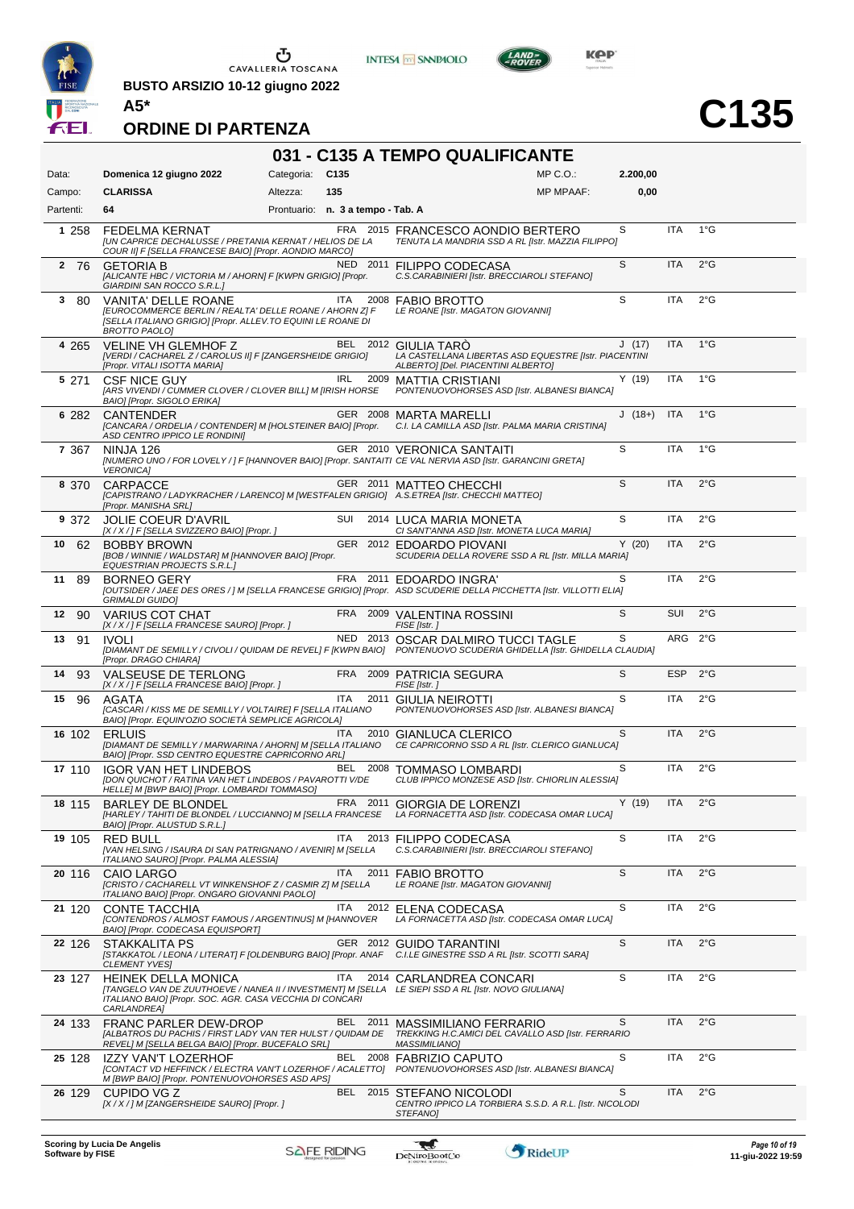

CAVALLERIA TOSCANA

**BUSTO ARSIZIO 10-12 giugno 2022**





**C135**

#### **ORDINE DI PARTENZA**

#### **031 - C135 A TEMPO QUALIFICANTE** Data: **Domenica 12 giugno 2022** Categoria: C135 Prontuario: **n. 3 a tempo - Tab. A** Campo: **CLARISSA** Partenti: **64** Altezza: **135** MP C.O.: MP MPAAF: **2.200,00 0,00** 1 258 FEDELMA KERNAT<br>*[UN CAPRICE DECHALUSSE / PRETANIA KERNAT / HELIOS DE LA TENUTA LA MANDRIA SSD A RL [Istr. MAZZIA]<br>COUR II] F [SELLA FRANCESE BAIO] [Propr. AONDIO MARCO] TENUTA LA MANDRIA SSD A RL [Istr. MAZZIA FILIPPO]* S ITA 1°G **2 76 GETORIA B NED 2011 FILIPPO CODECASA** *[ALICANTE HBC / VICTORIA M / AHORN] F [KWPN GRIGIO] [Propr. GIARDINI SAN ROCCO S.R.L.] C.S.CARABINIERI [Istr. BRECCIAROLI STEFANO]* S ITA 2°G **3** 80 VANITA' DELLE ROANE ITA 2008 FABIO BROTTO *[EUROCOMMERCE BERLIN / REALTA' DELLE ROANE / AHORN Z] F [SELLA ITALIANO GRIGIO] [Propr. ALLEV.TO EQUINI LE ROANE DI BROTTO PAOLO] LE ROANE [Istr. MAGATON GIOVANNI]* S ITA 2°G **4** 265 VELINE VH GLEMHOF Z BEL 2012 GIULIA TARÒ *[VERDI / CACHAREL Z / CAROLUS II] F [ZANGERSHEIDE GRIGIO] [Propr. VITALI ISOTTA MARIA] LA CASTELLANA LIBERTAS ASD EQUESTRE [Istr. PIACENTINI ALBERTO] [Del. PIACENTINI ALBERTO]* J (17) ITA 1°G **5** 271 CSF NICE GUY IRL 2009 MATTIA CRISTIANI *[ARS VIVENDI / CUMMER CLOVER / CLOVER BILL] M [IRISH HORSE BAIO] [Propr. SIGOLO ERIKA] PONTENUOVOHORSES ASD [Istr. ALBANESI BIANCA]* Y (19) ITA 1°G **6** 282 CANTENDER GER 2008 MARTA MARELLI *[CANCARA / ORDELIA / CONTENDER] M [HOLSTEINER BAIO] [Propr. ASD CENTRO IPPICO LE RONDINI] C.I. LA CAMILLA ASD [Istr. PALMA MARIA CRISTINA]* J (18+) ITA 1°G **7** 367 NINJA 126 GER 2010 VERONICA SANTAITI *[NUMERO UNO / FOR LOVELY / ] F [HANNOVER BAIO] [Propr. SANTAITI CE VAL NERVIA ASD [Istr. GARANCINI GRETA] VERONICA]*  $S$  ITA 1°G **8** 370 CARPACCE GER 2011 MATTEO CHECCHI *[CAPISTRANO / LADYKRACHER / LARENCO] M [WESTFALEN GRIGIO] [Propr. MANISHA SRL] GER 2011 MATTEO CHECCHI MATTEO] A.S.ETREA [Istr. CHECCHI MATTEO]*  $S$  ITA  $2^{\circ}G$ **9** 372 JOLIE COEUR D'AVRIL SUI 2014 LUCA MARIA MONETA<br>[X/X/] F [SELLA SVIZZERO BAIO] [Propr. ] CI SANTANNA ASD [Istr. MONE *[X / X / ] F [SELLA SVIZZERO BAIO] [Propr. ] CI SANT'ANNA ASD [Istr. MONETA LUCA MARIA]* S ITA 2°G **10** 62 BOBBY BROWN GER 2012 EDOARDO PIOVANI *[BOB / WINNIE / WALDSTAR] M [HANNOVER BAIO] [Propr. EQUESTRIAN PROJECTS S.R.L.] SCUDERIA DELLA ROVERE SSD A RL [Istr. MILLA MARIA]*  $Y$  (20) ITA  $2^{\circ}$ G **11** 89 BORNEO GERY FRA 2011 EDOARDO INGRA' *[OUTSIDER / JAEE DES ORES / ] M [SELLA FRANCESE GRIGIO] [Propr. ASD SCUDERIE DELLA PICCHETTA [Istr. VILLOTTI ELIA] GRIMALDI GUIDO]* S ITA 2°G 12 90 VARIUS COT CHAT **FRA 2009 VALENTINA ROSSINI**<br> *K/X/I E ISELLA FRANCESE SAUROI IPropr. I* FISE *IIst*. *1 [X / X / ] F [SELLA FRANCESE SAURO] [Propr. ]* **FISH [ISS** [ISTRE] S SUI 2°G **13** 91 IVOLI NED 2013 OSCAR DALMIRO TUCCI TAGLE *[DIAMANT DE SEMILLY / CIVOLI / QUIDAM DE REVEL] F [KWPN BAIO] [Propr. DRAGO CHIARA] PONTENUOVO SCUDERIA GHIDELLA [Istr. GHIDELLA CLAUDIA]*  $S$  ARG  $2^{\circ}$ G **14** 93 VALSEUSE DE TERLONG FRA 2009 PATRICIA SEGURA *[X / X / ] F [SELLA FRANCESE BAIO] [Propr. ] FISE [Istr. ]*  $S$  ESP  $2^{\circ}G$ **15** 96 AGATA **ITA 2011 GIULIA NEIROTTI** *[CASCARI / KISS ME DE SEMILLY / VOLTAIRE] F [SELLA ITALIANO BAIO] [Propr. EQUIN'OZIO SOCIETÀ SEMPLICE AGRICOLA] PONTENUOVOHORSES ASD [Istr. ALBANESI BIANCA]*  $S$  ITA  $2^{\circ}G$ ITA 2010 GIANLUCA CLERICO<br>*[DIAMANT DE SEMILLY / MARWARINA / AHORN] M [SELLA ITALIANO CE CAPRICORNO SSD A RL]*<br>BAIO] [Propr. SSD CENTRO EQUESTRE CAPRICORNO ARL] *CE CAPRICORNO SSD A RL [Istr. CLERICO GIANLUCA]* S ITA 2°G **17** 110 IGOR VAN HET LINDEBOS BEL 2008 TOMMASO LOMBARDI *[DON QUICHOT / RATINA VAN HET LINDEBOS / PAVAROTTI V/DE HELLE] M [BWP BAIO] [Propr. LOMBARDI TOMMASO] CLUB IPPICO MONZESE ASD [Istr. CHIORLIN ALESSIA]* S ITA 2°G **18** 115 BARLEY DE BLONDEL FRA 2011 GIORGIA DE LORENZI *[HARLEY / TAHITI DE BLONDEL / LUCCIANNO] M [SELLA FRANCESE BAIO] [Propr. ALUSTUD S.R.L.] LA FORNACETTA ASD [Istr. CODECASA OMAR LUCA]* Y (19) ITA 2°G **19** 105 RED BULL ITA 2013 FILIPPO CODECASA *C.S.CARABINIERI [Istr. BRECCIAROLI STEFANO] [VAN HELSING / ISAURA DI SAN PATRIGNANO / AVENIR] M [SELLA ITALIANO SAURO] [Propr. PALMA ALESSIA]* S ITA 2°G **20 116 CAIO LARGO ITA 2011 FABIO BROTTO** *[CRISTO / CACHARELL VT WINKENSHOF Z / CASMIR Z] M [SELLA ITALIANO BAIO] [Propr. ONGARO GIOVANNI PAOLO] LE ROANE [Istr. MAGATON GIOVANNI]* S ITA 2°G **21** 120 CONTE TACCHIA ITA 2012 ELENA CODECASA *[CONTENDROS / ALMOST FAMOUS / ARGENTINUS] M [HANNOVER BAIO] [Propr. CODECASA EQUISPORT] LA FORNACETTA ASD [Istr. CODECASA OMAR LUCA]* S ITA 2°G **22** 126 STAKKALITA PS GER 2012 GUIDO TARANTINI *C.I.LE GINESTRE SSD A RL [Istr. SCOTTI SARA] [STAKKATOL / LEONA / LITERAT] F [OLDENBURG BAIO] [Propr. ANAF CLEMENT YVES]* S ITA 2°G **23** 127 HEINEK DELLA MONICA ITA 2014 CARLANDREA CONCARI *[TANGELO VAN DE ZUUTHOEVE / NANEA II / INVESTMENT] M [SELLA ITALIANO BAIO] [Propr. SOC. AGR. CASA VECCHIA DI CONCARI LE SIEPI SSD A RL [Istr. NOVO GIULIANA] CARLANDREA]* S ITA 2°G **24** 133 FRANC PARLER DEW-DROP BEL 2011 MASSIMILIANO FERRARIO *[ALBATROS DU PACHIS / FIRST LADY VAN TER HULST / QUIDAM DE REVEL] M [SELLA BELGA BAIO] [Propr. BUCEFALO SRL] TREKKING H.C.AMICI DEL CAVALLO ASD [Istr. FERRARIO MASSIMILIANO]* S ITA 2°G **25** 128 IZZY VAN'T LOZERHOF BEL 2008 FABRIZIO CAPUTO *[CONTACT VD HEFFINCK / ELECTRA VAN'T LOZERHOF / ACALETTO] M [BWP BAIO] [Propr. PONTENUOVOHORSES ASD APS] PONTENUOVOHORSES ASD [Istr. ALBANESI BIANCA]* S ITA 2°G **26** 129 CUPIDO VG Z BEL 2015 [X/X/JM |ZANGERSHEIDE SAURO] [Propr. ] *[X / X / ] M [ZANGERSHEIDE SAURO] [Propr. ] CENTRO IPPICO LA TORBIERA S.S.D. A R.L. [Istr. NICOLODI STEFANO]* S ITA 2°G



w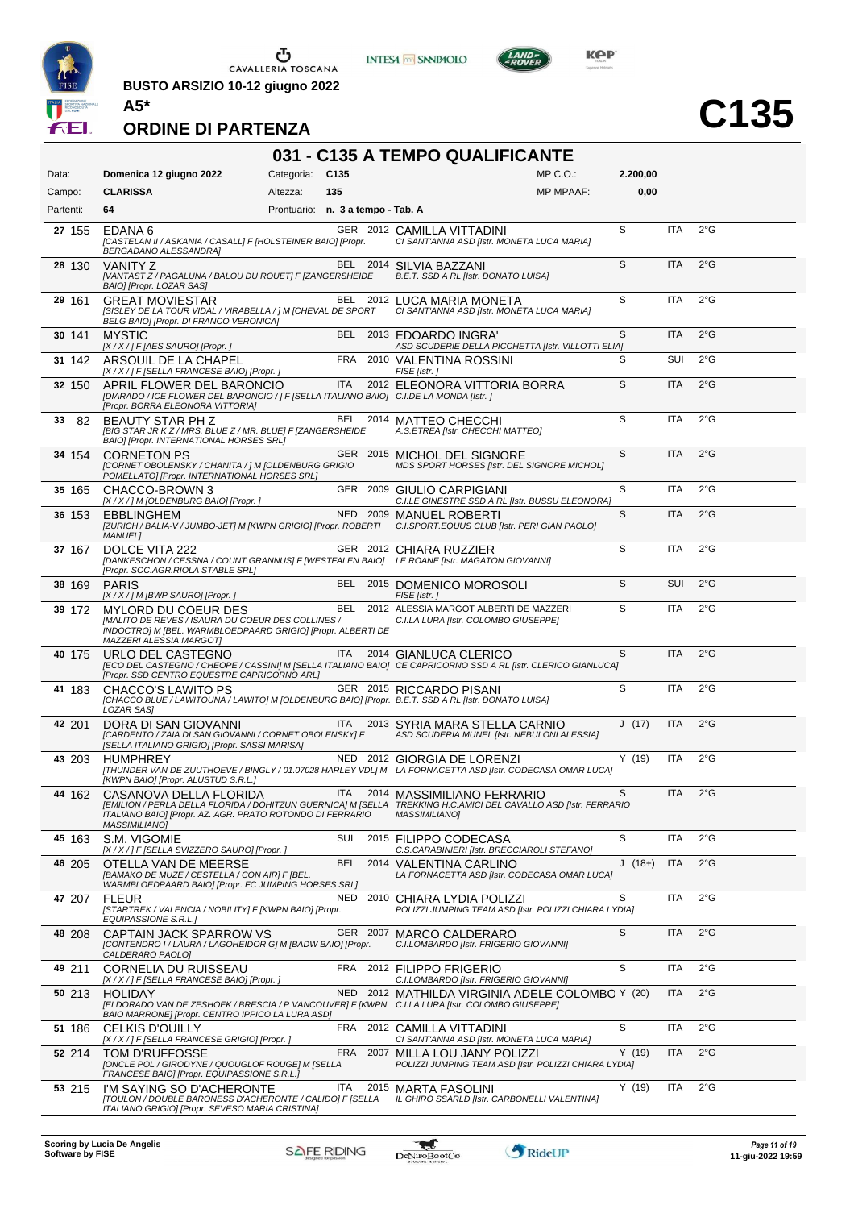

 $\begin{array}{c}\n\bullet \\
\bullet \\
\bullet \\
\bullet\n\end{array}$  CAVALLERIA TOSCANA

**BUSTO ARSIZIO 10-12 giugno 2022**





**C135**

#### **ORDINE DI PARTENZA**

# **031 - C135 A TEMPO QUALIFICANTE**

| Data:     | Domenica 12 giugno 2022                                                                                                                                            | Categoria:                        | C <sub>135</sub> |          | MP C. O.                                                                                                                                                             | 2.200,00 |            |               |
|-----------|--------------------------------------------------------------------------------------------------------------------------------------------------------------------|-----------------------------------|------------------|----------|----------------------------------------------------------------------------------------------------------------------------------------------------------------------|----------|------------|---------------|
| Campo:    | <b>CLARISSA</b>                                                                                                                                                    | Altezza:                          | 135              |          | <b>MP MPAAF:</b>                                                                                                                                                     | 0,00     |            |               |
| Partenti: | 64                                                                                                                                                                 | Prontuario: n. 3 a tempo - Tab. A |                  |          |                                                                                                                                                                      |          |            |               |
| 27 155    | EDANA 6<br>[CASTELAN II / ASKANIA / CASALL] F [HOLSTEINER BAIO] [Propr.<br>BERGADANO ALESSANDRA]                                                                   |                                   |                  |          | GER 2012 CAMILLA VITTADINI<br>CI SANT'ANNA ASD [Istr. MONETA LUCA MARIA]                                                                                             | S        | ITA        | $2^{\circ}$ G |
| 28 130    | <b>VANITY Z</b><br>[VANTAST Z / PAGALUNA / BALOU DU ROUET] F [ZANGERSHEIDE<br>BAIO] [Propr. LOZAR SAS]                                                             |                                   |                  |          | BEL 2014 SILVIA BAZZANI<br>B.E.T. SSD A RL [Istr. DONATO LUISA]                                                                                                      | S        | <b>ITA</b> | $2^{\circ}$ G |
| 29 161    | <b>GREAT MOVIESTAR</b><br>[SISLEY DE LA TOUR VIDAL / VIRABELLA / ] M [CHEVAL DE SPORT<br>BELG BAIO] [Propr. DI FRANCO VERONICA]                                    |                                   |                  |          | BEL 2012 LUCA MARIA MONETA<br>CI SANT'ANNA ASD [Istr. MONETA LUCA MARIA]                                                                                             | S        | <b>ITA</b> | $2^{\circ}$ G |
| 30 141    | <b>MYSTIC</b><br>[X / X / ] F [AES SAURO] [Propr. ]                                                                                                                |                                   |                  |          | BEL 2013 EDOARDO INGRA'<br>ASD SCUDERIE DELLA PICCHETTA [Istr. VILLOTTI ELIA]                                                                                        | S        | <b>ITA</b> | 2°G           |
| 31 142    | ARSOUIL DE LA CHAPEL<br>[X / X / ] F [SELLA FRANCESE BAIO] [Propr. ]                                                                                               |                                   | FRA              |          | 2010 VALENTINA ROSSINI<br>FISE [Istr.]                                                                                                                               | S        | SUI        | $2^{\circ}$ G |
| 32 150    | APRIL FLOWER DEL BARONCIO<br>[DIARADO / ICE FLOWER DEL BARONCIO / ] F [SELLA ITALIANO BAIO] C.I.DE LA MONDA [Istr. ]<br>[Propr. BORRA ELEONORA VITTORIA]           |                                   | <b>ITA</b>       |          | 2012 ELEONORA VITTORIA BORRA                                                                                                                                         | S        | <b>ITA</b> | 2°G           |
| 82<br>33  | BEAUTY STAR PH Z<br>[BIG STAR JR KZ / MRS. BLUE Z / MR. BLUE] F [ZANGERSHEIDE<br>BAIO] [Propr. INTERNATIONAL HORSES SRL]                                           |                                   |                  |          | BEL 2014 MATTEO CHECCHI<br>A.S.ETREA [Istr. CHECCHI MATTEO]                                                                                                          | S        | <b>ITA</b> | 2°G           |
| 34 154    | <b>CORNETON PS</b><br>[CORNET OBOLENSKY / CHANITA / ] M [OLDENBURG GRIGIO<br>POMELLATO] [Propr. INTERNATIONAL HORSES SRL]                                          |                                   |                  |          | GER 2015 MICHOL DEL SIGNORE<br>MDS SPORT HORSES [Istr. DEL SIGNORE MICHOL]                                                                                           | S        | <b>ITA</b> | $2^{\circ}$ G |
| 35 165    | CHACCO-BROWN 3<br>[X / X / ] M [OLDENBURG BAIO] [Propr. ]                                                                                                          |                                   |                  |          | GER 2009 GIULIO CARPIGIANI<br>C.I.LE GINESTRE SSD A RL [Istr. BUSSU ELEONORA]                                                                                        | S        | <b>ITA</b> | $2^{\circ}$ G |
| 36 153    | <b>EBBLINGHEM</b><br>[ZURICH / BALIA-V / JUMBO-JET] M [KWPN GRIGIO] [Propr. ROBERTI<br><b>MANUEL1</b>                                                              |                                   |                  |          | NED 2009 MANUEL ROBERTI<br>C.I.SPORT.EQUUS CLUB [Istr. PERI GIAN PAOLO]                                                                                              | S        | <b>ITA</b> | $2^{\circ}$ G |
| 37 167    | DOLCE VITA 222<br>[Propr. SOC.AGR.RIOLA STABLE SRL]                                                                                                                |                                   |                  |          | GER 2012 CHIARA RUZZIER<br>[DANKESCHON / CESSNA / COUNT GRANNUS] F [WESTFALEN BAIO] LE ROANE [Istr. MAGATON GIOVANNI]                                                | S        | <b>ITA</b> | $2^{\circ}$ G |
| 38 169    | <b>PARIS</b><br>[X / X / ] M [BWP SAURO] [Propr. ]                                                                                                                 |                                   | <b>BEL</b>       |          | 2015 DOMENICO MOROSOLI<br>FISE [Istr.]                                                                                                                               | S        | SUI        | $2^{\circ}$ G |
| 39 172    | MYLORD DU COEUR DES<br>[MALITO DE REVES / ISAURA DU COEUR DES COLLINES /<br>INDOCTRO] M [BEL. WARMBLOEDPAARD GRIGIO] [Propr. ALBERTI DE<br>MAZZERI ALESSIA MARGOTI |                                   | BEL              |          | 2012 ALESSIA MARGOT ALBERTI DE MAZZERI<br>C.I.LA LURA [Istr. COLOMBO GIUSEPPE]                                                                                       | S        | <b>ITA</b> | 2°G           |
| 40 175    | URLO DEL CASTEGNO<br>[Propr. SSD CENTRO EQUESTRE CAPRICORNO ARL]                                                                                                   |                                   | ITA              |          | 2014 GIANLUCA CLERICO<br>[ECO DEL CASTEGNO / CHEOPE / CASSINI] M [SELLA ITALIANO BAIO] CE CAPRICORNO SSD A RL [Istr. CLERICO GIANLUCA]                               | S        | ITA        | 2°G           |
| 41 183    | <b>CHACCO'S LAWITO PS</b><br>LOZAR SAS]                                                                                                                            |                                   |                  |          | GER 2015 RICCARDO PISANI<br>[CHACCO BLUE / LAWITOUNA / LAWITO] M [OLDENBURG BAIO] [Propr. B.E.T. SSD A RL [Istr. DONATO LUISA]                                       | S        | <b>ITA</b> | 2°G           |
| 42 201    | DORA DI SAN GIOVANNI<br>[CARDENTO / ZAIA DI SAN GIOVANNI / CORNET OBOLENSKY] F<br>[SELLA ITALIANO GRIGIO] [Propr. SASSI MARISA]                                    |                                   | ITA              |          | 2013 SYRIA MARA STELLA CARNIO<br>ASD SCUDERIA MUNEL [Istr. NEBULONI ALESSIA]                                                                                         | J(17)    | <b>ITA</b> | $2^{\circ}$ G |
| 43 203    | <b>HUMPHREY</b><br>[KWPN BAIO] [Propr. ALUSTUD S.R.L.]                                                                                                             |                                   |                  |          | NED 2012 GIORGIA DE LORENZI<br>[THUNDER VAN DE ZUUTHOEVE / BINGLY / 01.07028 HARLEY VDL] M LA FORNACETTA ASD [Istr. CODECASA OMAR LUCA]                              | Y(19)    | <b>ITA</b> | 2°G           |
| 44 162    | CASANOVA DELLA FLORIDA<br>ITALIANO BAIO] [Propr. AZ. AGR. PRATO ROTONDO DI FERRARIO<br><b>MASSIMILIANO]</b>                                                        |                                   | ITA              |          | 2014 MASSIMILIANO FERRARIO<br>[EMILION / PERLA DELLA FLORIDA / DOHITZUN GUERNICA] M [SELLA TREKKING H.C.AMICI DEL CAVALLO ASD [Istr. FERRARIO<br><b>MASSIMILIANO</b> | S        | <b>ITA</b> | $2^{\circ}G$  |
| 45 163    | S.M. VIGOMIE<br>[X / X / ] F [SELLA SVIZZERO SAURO] [Propr. ]                                                                                                      |                                   | SUI              |          | 2015 FILIPPO CODECASA<br>C.S.CARABINIERI [Istr. BRECCIAROLI STEFANO]                                                                                                 | S        | <b>ITA</b> | 2°G           |
| 46 205    | OTELLA VAN DE MEERSE<br>[BAMAKO DE MUZE / CESTELLA / CON AIR] F [BEL.<br>WARMBLOEDPAARD BAIO] [Propr. FC JUMPING HORSES SRL]                                       |                                   | BEL              |          | 2014 VALENTINA CARLINO<br>LA FORNACETTA ASD [Istr. CODECASA OMAR LUCA]                                                                                               | $J(18+)$ | <b>ITA</b> | 2°G           |
| 47 207    | <b>FLEUR</b><br>[STARTREK / VALENCIA / NOBILITY] F [KWPN BAIO] [Propr.<br>EQUIPASSIONE S.R.L.]                                                                     |                                   | NED              | 2010     | CHIARA LYDIA POLIZZI<br>POLIZZI JUMPING TEAM ASD [Istr. POLIZZI CHIARA LYDIA]                                                                                        | S        | <b>ITA</b> | 2°G           |
| 48 208    | CAPTAIN JACK SPARROW VS<br>[CONTENDRO I / LAURA / LAGOHEIDOR G] M [BADW BAIO] [Propr.<br>CALDERARO PAOLO]                                                          |                                   |                  | GER 2007 | MARCO CALDERARO<br>C.I.LOMBARDO [Istr. FRIGERIO GIOVANNI]                                                                                                            | S        | <b>ITA</b> | 2°G           |
| 49 211    | CORNELIA DU RUISSEAU<br>[X / X / ] F [SELLA FRANCESE BAIO] [Propr. ]                                                                                               |                                   | FRA              |          | 2012 FILIPPO FRIGERIO<br>C.I.LOMBARDO [Istr. FRIGERIO GIOVANNI]                                                                                                      | S        | ITA        | 2°G           |
| 50 213    | <b>HOLIDAY</b><br>BAIO MARRONE] [Propr. CENTRO IPPICO LA LURA ASD]                                                                                                 |                                   |                  |          | NED 2012 MATHILDA VIRGINIA ADELE COLOMBC Y (20)<br>[ELDORADO VAN DE ZESHOEK / BRESCIA / P VANCOUVER] F [KWPN C.I.LA LURA [Istr. COLOMBO GIUSEPPE]                    |          | ITA        | 2°G           |
| 51 186    | <b>CELKIS D'OUILLY</b><br>[X / X / ] F [SELLA FRANCESE GRIGIO] [Propr. ]                                                                                           |                                   | FRA              |          | 2012 CAMILLA VITTADINI<br>CI SANT'ANNA ASD [Istr. MONETA LUCA MARIA]                                                                                                 | S        | ITA        | 2°G           |
| 52 214    | TOM D'RUFFOSSE<br>[ONCLE POL / GIRODYNE / QUOUGLOF ROUGE] M [SELLA<br>FRANCESE BAIO] [Propr. EQUIPASSIONE S.R.L.]                                                  |                                   | <b>FRA</b>       | 2007     | MILLA LOU JANY POLIZZI<br>POLIZZI JUMPING TEAM ASD [Istr. POLIZZI CHIARA LYDIA]                                                                                      | Y(19)    | <b>ITA</b> | 2°G           |
| 53 215    | I'M SAYING SO D'ACHERONTE<br>[TOULON / DOUBLE BARONESS D'ACHERONTE / CALIDO] F [SELLA<br>ITALIANO GRIGIO] [Propr. SEVESO MARIA CRISTINA]                           |                                   | <b>ITA</b>       |          | 2015 MARTA FASOLINI<br>IL GHIRO SSARLD [Istr. CARBONELLI VALENTINA]                                                                                                  | Y(19)    | <b>ITA</b> | 2°G           |

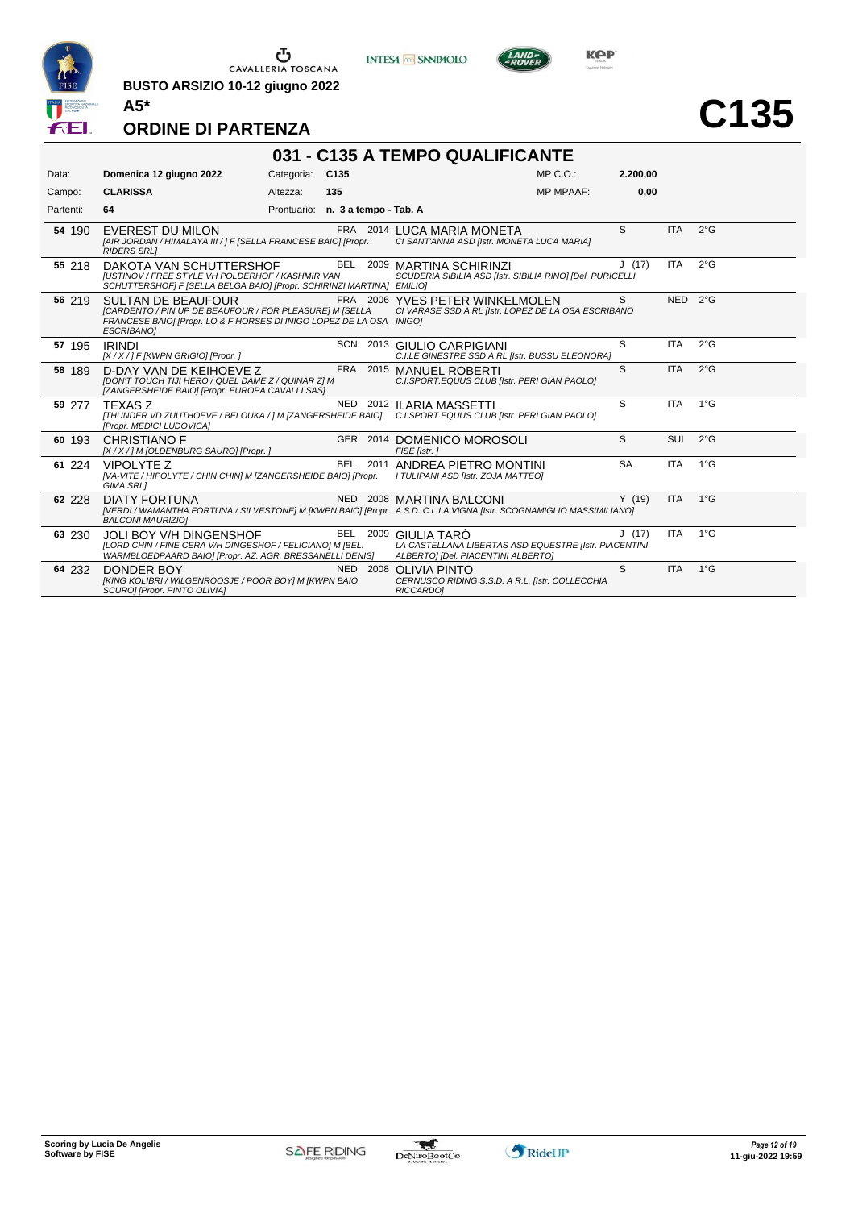

 $\begin{array}{c}\n\bullet \\
\bullet \\
\bullet \\
\bullet\n\end{array}$  CAVALLERIA TOSCANA

**BUSTO ARSIZIO 10-12 giugno 2022**



**C135**

### **ORDINE DI PARTENZA**

| 031 - C135 A TEMPO QUALIFICANTE |                                                                                                                                                                                   |                                   |      |          |                                                                                                                                                  |           |                    |               |  |  |  |
|---------------------------------|-----------------------------------------------------------------------------------------------------------------------------------------------------------------------------------|-----------------------------------|------|----------|--------------------------------------------------------------------------------------------------------------------------------------------------|-----------|--------------------|---------------|--|--|--|
| Data:                           | Domenica 12 giugno 2022                                                                                                                                                           | Categoria:                        | C135 |          | $MP C. O.$ :                                                                                                                                     | 2.200.00  |                    |               |  |  |  |
| Campo:                          | <b>CLARISSA</b>                                                                                                                                                                   | Altezza:                          | 135  |          | <b>MP MPAAF:</b>                                                                                                                                 | 0,00      |                    |               |  |  |  |
| Partenti:                       | 64                                                                                                                                                                                | Prontuario: n. 3 a tempo - Tab. A |      |          |                                                                                                                                                  |           |                    |               |  |  |  |
| 54 190                          | <b>EVEREST DU MILON</b><br>[AIR JORDAN / HIMALAYA III / ] F [SELLA FRANCESE BAIO] [Propr.<br><b>RIDERS SRLI</b>                                                                   |                                   |      |          | FRA 2014 LUCA MARIA MONETA<br>CI SANT'ANNA ASD [Istr. MONETA LUCA MARIA]                                                                         | S         | <b>ITA</b>         | $2^{\circ}$ G |  |  |  |
| 55 218                          | DAKOTA VAN SCHUTTERSHOF<br><b>IUSTINOV / FREE STYLE VH POLDERHOF / KASHMIR VAN</b><br>SCHUTTERSHOF  F [SELLA BELGA BAIO] [Propr. SCHIRINZI MARTINA] EMILIO]                       |                                   |      |          | BEL 2009 MARTINA SCHIRINZI<br>SCUDERIA SIBILIA ASD [Istr. SIBILIA RINO] [Del. PURICELLI                                                          | J(17)     | ITA                | $2^{\circ}$ G |  |  |  |
| 56 219                          | <b>SULTAN DE BEAUFOUR</b><br>[CARDENTO / PIN UP DE BEAUFOUR / FOR PLEASURE] M [SELLA<br>FRANCESE BAIO] [Propr. LO & F HORSES DI INIGO LOPEZ DE LA OSA INIGO]<br><b>ESCRIBANO1</b> |                                   |      |          | FRA 2006 YVES PETER WINKELMOLEN<br>CI VARASE SSD A RL [Istr. LOPEZ DE LA OSA ESCRIBANO                                                           | S         | NED <sub>2°G</sub> |               |  |  |  |
| 57 195                          | <b>IRINDI</b><br>[X / X / ] F [KWPN GRIGIO] [Propr. ]                                                                                                                             |                                   |      |          | SCN 2013 GIULIO CARPIGIANI<br>C.I.LE GINESTRE SSD A RL [Istr. BUSSU ELEONORA]                                                                    | S         | <b>ITA</b>         | 2°G           |  |  |  |
| 58 189                          | D-DAY VAN DE KEIHOEVE Z<br><b>IDON'T TOUCH TIJI HERO / QUEL DAME Z / QUINAR ZI M</b><br>[ZANGERSHEIDE BAIO] [Propr. EUROPA CAVALLI SAS]                                           |                                   |      |          | FRA 2015 MANUEL ROBERTI<br>C.I.SPORT.EQUUS CLUB [Istr. PERI GIAN PAOLO]                                                                          | S         | <b>ITA</b>         | $2^{\circ}$ G |  |  |  |
| 59 277                          | <b>TEXASZ</b><br>[Propr. MEDICI LUDOVICA]                                                                                                                                         |                                   |      |          | NED 2012 ILARIA MASSETTI<br>[THUNDER VD ZUUTHOEVE / BELOUKA / ] M [ZANGERSHEIDE BAIO] C.I.SPORT.EQUUS CLUB [Istr. PERI GIAN PAOLO]               | S         | <b>ITA</b>         | $1^{\circ}$ G |  |  |  |
| 60 193                          | <b>CHRISTIANO F</b><br>[X / X / ] M [OLDENBURG SAURO] [Propr. ]                                                                                                                   |                                   |      |          | GER 2014 DOMENICO MOROSOLI<br>FISE [Istr.]                                                                                                       | S         | SUI                | $2^{\circ}$ G |  |  |  |
| 61 224                          | <b>VIPOLYTE Z</b><br>[VA-VITE / HIPOLYTE / CHIN CHIN] M [ZANGERSHEIDE BAIO] [Propr.<br><b>GIMA SRL1</b>                                                                           |                                   |      |          | BEL 2011 ANDREA PIETRO MONTINI<br>I TULIPANI ASD [Istr. ZOJA MATTEO]                                                                             | <b>SA</b> | <b>ITA</b>         | $1^{\circ}$ G |  |  |  |
| 62 228                          | <b>DIATY FORTUNA</b><br><b>BALCONI MAURIZIOI</b>                                                                                                                                  |                                   |      |          | NED 2008 MARTINA BALCONI<br>[VERDI / WAMANTHA FORTUNA / SILVESTONE] M [KWPN BAIO] [Propr. A.S.D. C.I. LA VIGNA [Istr. SCOGNAMIGLIO MASSIMILIANO] | Y(19)     | <b>ITA</b>         | $1^{\circ}$ G |  |  |  |
| 63 230                          | <b>JOLI BOY V/H DINGENSHOF</b><br>[LORD CHIN / FINE CERA V/H DINGESHOF / FELICIANO] M [BEL.<br>WARMBLOEDPAARD BAIO] [Propr. AZ. AGR. BRESSANELLI DENIS]                           |                                   |      | BEL 2009 | <b>GIULIA TARÓ</b><br>LA CASTELLANA LIBERTAS ASD EQUESTRE [Istr. PIACENTINI<br>ALBERTO] [Del. PIACENTINI ALBERTO]                                | J(17)     | <b>ITA</b>         | $1^{\circ}G$  |  |  |  |
| 64 232                          | <b>DONDER BOY</b><br>[KING KOLIBRI / WILGENROOSJE / POOR BOY] M [KWPN BAIO<br>SCURO] [Propr. PINTO OLIVIA]                                                                        |                                   |      | NED 2008 | <b>OLIVIA PINTO</b><br>CERNUSCO RIDING S.S.D. A R.L. [Istr. COLLECCHIA<br>RICCARDOI                                                              | S         | <b>ITA</b>         | 1°G           |  |  |  |

**INTESA M** SANPAOLO

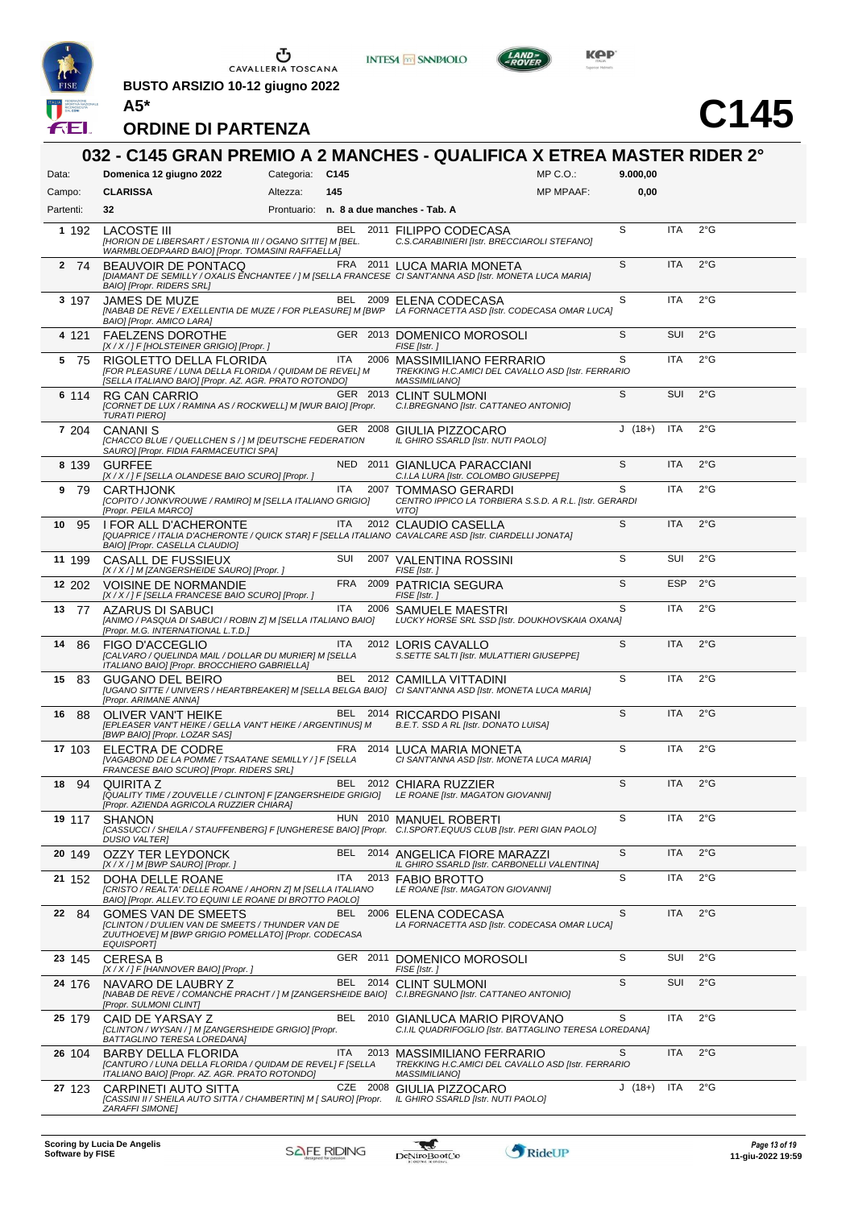

**BUSTO ARSIZIO 10-12 giugno 2022 A5\***





# **C145**

| Data:      | 032 - C145 GRAN PREMIO A 2 MANCHES - QUALIFICA X ETREA MASTER RIDER 2°<br>Domenica 12 giugno 2022                                                                       | Categoria: C145 |            |          |                                                                                                     | $MP C. O.$ :     | 9.000,00 |            |               |
|------------|-------------------------------------------------------------------------------------------------------------------------------------------------------------------------|-----------------|------------|----------|-----------------------------------------------------------------------------------------------------|------------------|----------|------------|---------------|
| Campo:     | <b>CLARISSA</b>                                                                                                                                                         | Altezza:        | 145        |          |                                                                                                     | <b>MP MPAAF:</b> | 0,00     |            |               |
| Partenti:  | 32                                                                                                                                                                      |                 |            |          | Prontuario: n. 8 a due manches - Tab. A                                                             |                  |          |            |               |
| 1 1 9 2    | <b>LACOSTE III</b><br>[HORION DE LIBERSART / ESTONIA III / OGANO SITTE] M [BEL.<br>WARMBLOEDPAARD BAIO] [Propr. TOMASINI RAFFAELLA]                                     |                 |            |          | BEL 2011 FILIPPO CODECASA<br>C.S.CARABINIERI [Istr. BRECCIAROLI STEFANO]                            |                  | S        | <b>ITA</b> | $2^{\circ}$ G |
| 2 74       | BEAUVOIR DE PONTACQ<br>[DIAMANT DE SEMILLY / OXALIS ENCHANTEE / ] M [SELLA FRANCESE CI SANT'ANNA ASD [Istr. MONETA LUCA MARIA]<br><b>BAIO] [Propr. RIDERS SRL]</b>      |                 |            |          | FRA 2011 LUCA MARIA MONETA                                                                          |                  | S        | <b>ITA</b> | $2^{\circ}$ G |
| 3 197      | <b>JAMES DE MUZE</b><br>[NABAB DE REVE / EXELLENTIA DE MUZE / FOR PLEASURE] M [BWP LA FORNACETTA ASD [Istr. CODECASA OMAR LUCA]<br><b>BAIOI [Propr. AMICO LARA]</b>     |                 |            |          | BEL 2009 ELENA CODECASA                                                                             |                  | S        | <b>ITA</b> | $2^{\circ}$ G |
| 4 121      | <b>FAELZENS DOROTHE</b><br>$[X/X$ / ] F [HOLSTEINER GRIGIO] [Propr. ]                                                                                                   |                 |            |          | GER 2013 DOMENICO MOROSOLI<br>FISE [Istr.]                                                          |                  | S        | <b>SUI</b> | $2^{\circ}$ G |
| 5<br>-75   | RIGOLETTO DELLA FLORIDA<br>[FOR PLEASURE / LUNA DELLA FLORIDA / QUIDAM DE REVEL] M<br>[SELLA ITALIANO BAIO] [Propr. AZ. AGR. PRATO ROTONDO]                             |                 | ITA        | 2006     | MASSIMILIANO FERRARIO<br>TREKKING H.C.AMICI DEL CAVALLO ASD [Istr. FERRARIO<br><b>MASSIMILIANO]</b> |                  | S        | ITA        | $2^{\circ}$ G |
| 6 114      | <b>RG CAN CARRIO</b><br>[CORNET DE LUX / RAMINA AS / ROCKWELL] M [WUR BAIO] [Propr.<br><b>TURATI PIERO]</b>                                                             |                 |            |          | GER 2013 CLINT SULMONI<br>C.I.BREGNANO [Istr. CATTANEO ANTONIO]                                     |                  | S        | <b>SUI</b> | $2^{\circ}$ G |
| 7 204      | <b>CANANIS</b><br>[CHACCO BLUE / QUELLCHEN S / ] M [DEUTSCHE FEDERATION<br>SAURO] [Propr. FIDIA FARMACEUTICI SPA]                                                       |                 |            |          | GER 2008 GIULIA PIZZOCARO<br>IL GHIRO SSARLD [Istr. NUTI PAOLO]                                     |                  | $J(18+)$ | <b>ITA</b> | $2^{\circ}$ G |
| 8 139      | <b>GURFEE</b><br>[X / X / ] F [SELLA OLANDESE BAIO SCURO] [Propr. ]                                                                                                     |                 |            |          | NED 2011 GIANLUCA PARACCIANI<br>C.I.LA LURA [Istr. COLOMBO GIUSEPPE]                                |                  | S        | <b>ITA</b> | $2^{\circ}$ G |
| 9<br>- 79  | <b>CARTHJONK</b><br>[COPITO / JONKVROUWE / RAMIRO] M [SELLA ITALIANO GRIGIO]<br>[Propr. PEILA MARCO]                                                                    |                 | <b>ITA</b> | 2007     | TOMMASO GERARDI<br>CENTRO IPPICO LA TORBIERA S.S.D. A R.L. [Istr. GERARDI<br><b>VITOI</b>           |                  | S        | <b>ITA</b> | $2^{\circ}$ G |
| 10<br>-95  | <b>I FOR ALL D'ACHERONTE</b><br>[QUAPRICE / ITALIA D'ACHERONTE / QUICK STAR] F [SELLA ITALIANO CAVALCARE ASD [Istr. CIARDELLI JONATA]<br>BAIO] [Propr. CASELLA CLAUDIO] |                 | ITA        |          | 2012 CLAUDIO CASELLA                                                                                |                  | S        | <b>ITA</b> | $2^{\circ}$ G |
| 11 199     | CASALL DE FUSSIEUX<br>[X / X / ] M [ZANGERSHEIDE SAURO] [Propr. ]                                                                                                       |                 | SUI        |          | 2007 VALENTINA ROSSINI<br>FISE [Istr.]                                                              |                  | S        | SUI        | $2^{\circ}$ G |
| 12 202     | <b>VOISINE DE NORMANDIE</b><br>[X / X / ] F [SELLA FRANCESE BAIO SCURO] [Propr. ]                                                                                       |                 | <b>FRA</b> |          | 2009 PATRICIA SEGURA<br>FISE [Istr.]                                                                |                  | S        | <b>ESP</b> | $2^{\circ}$ G |
| 13<br>77   | AZARUS DI SABUCI<br>[ANIMO / PASQUA DI SABUCI / ROBIN Z] M [SELLA ITALIANO BAIO]<br>[Propr. M.G. INTERNATIONAL L.T.D.]                                                  |                 | <b>ITA</b> |          | 2006 SAMUELE MAESTRI<br>LUCKY HORSE SRL SSD [Istr. DOUKHOVSKAIA OXANA]                              |                  | S        | ITA        | $2^{\circ}$ G |
| 86<br>14   | <b>FIGO D'ACCEGLIO</b><br>[CALVARO / QUELINDA MAIL / DOLLAR DU MURIER] M [SELLA<br>ITALIANO BAIO] [Propr. BROCCHIERO GABRIELLA]                                         |                 | ITA        |          | 2012 LORIS CAVALLO<br>S.SETTE SALTI [Istr. MULATTIERI GIUSEPPE]                                     |                  | S        | <b>ITA</b> | $2^{\circ}$ G |
| 83<br>15   | <b>GUGANO DEL BEIRO</b><br>[UGANO SITTE / UNIVERS / HEARTBREAKER] M [SELLA BELGA BAIO] CI SANT'ANNA ASD [Istr. MONETA LUCA MARIA]<br>[Propr. ARIMANE ANNA]              |                 |            |          | BEL 2012 CAMILLA VITTADINI                                                                          |                  | S        | <b>ITA</b> | $2^{\circ}$ G |
| 16<br>- 88 | OLIVER VAN'T HEIKE<br>[EPLEASER VAN'T HEIKE / GELLA VAN'T HEIKE / ARGENTINUS] M<br>[BWP BAIO] [Propr. LOZAR SAS]                                                        |                 |            |          | BEL 2014 RICCARDO PISANI<br>B.E.T. SSD A RL [Istr. DONATO LUISA]                                    |                  | S        | <b>ITA</b> | $2^{\circ}$ G |
| 17 103     | ELECTRA DE CODRE<br>[VAGABOND DE LA POMME / TSAATANE SEMILLY / ] F [SELLA<br>FRANCESE BAIO SCUROI [Propr. RIDERS SRL]                                                   |                 |            |          | FRA 2014 LUCA MARIA MONETA<br>CI SANT'ANNA ASD [Istr. MONETA LUCA MARIA]                            |                  | S        | <b>ITA</b> | $2^{\circ}$ G |
| 18 94      | QUIRITA Z<br>[QUALITY TIME / ZOUVELLE / CLINTON] F [ZANGERSHEIDE GRIGIO] LE ROANE [Istr. MAGATON GIOVANNI]<br>[Propr. AZIENDA AGRICOLA RUZZIER CHIARA]                  |                 |            |          | BEL 2012 CHIARA RUZZIER                                                                             |                  | S        | <b>ITA</b> | $2^{\circ}$ G |
| 19 117     | <b>SHANON</b><br>[CASSUCCI / SHEILA / STAUFFENBERG] F [UNGHERESE BAIO] [Propr. C.I.SPORT.EQUUS CLUB [Istr. PERI GIAN PAOLO]<br><b>DUSIO VALTERI</b>                     |                 |            |          | HUN 2010 MANUEL ROBERTI                                                                             |                  | S        | <b>ITA</b> | $2^{\circ}$ G |
| 20 149     | OZZY TER LEYDONCK<br>[X / X / ] M [BWP SAURO] [Propr. ]                                                                                                                 |                 |            |          | BEL 2014 ANGELICA FIORE MARAZZI<br>IL GHIRO SSARLD [Istr. CARBONELLI VALENTINA]                     |                  | S        | <b>ITA</b> | $2^{\circ}$ G |
| 21 152     | DOHA DELLE ROANE<br>ICRISTO / REALTA' DELLE ROANE / AHORN Z] M [SELLA ITALIANO<br>BAIO] [Propr. ALLEV.TO EQUINI LE ROANE DI BROTTO PAOLO]                               |                 | ITA        |          | 2013 FABIO BROTTO<br>LE ROANE [Istr. MAGATON GIOVANNI]                                              |                  | S        | ITA        | $2^{\circ}$ G |
| 22 84      | <b>GOMES VAN DE SMEETS</b><br>[CLINTON / D'ULIEN VAN DE SMEETS / THUNDER VAN DE<br>ZUUTHOEVE] M [BWP GRIGIO POMELLATO] [Propr. CODECASA<br><b>EQUISPORT</b>             |                 |            |          | BEL 2006 ELENA CODECASA<br>LA FORNACETTA ASD [Istr. CODECASA OMAR LUCA]                             |                  | S        | <b>ITA</b> | $2^{\circ}$ G |
| 23 145     | <b>CERESA B</b><br>[X / X / ] F [HANNOVER BAIO] [Propr. ]                                                                                                               |                 |            |          | GER 2011 DOMENICO MOROSOLI<br>FISE [Istr.]                                                          |                  | S        | SUI        | $2^{\circ}$ G |
| 24 176     | NAVARO DE LAUBRY Z<br>[NABAB DE REVE / COMANCHE PRACHT / ] M [ZANGERSHEIDE BAIO] C.I.BREGNANO [Istr. CATTANEO ANTONIO]<br>[Propr. SULMONI CLINT]                        |                 |            |          | BEL 2014 CLINT SULMONI                                                                              |                  | S        | SUI        | $2^{\circ}$ G |
| 25 179     | CAID DE YARSAY Z<br>[CLINTON / WYSAN / ] M [ZANGERSHEIDE GRIGIO] [Propr.<br>BATTAGLINO TERESA LOREDANA]                                                                 |                 |            | BEL 2010 | GIANLUCA MARIO PIROVANO<br>C.I.IL QUADRIFOGLIO [Istr. BATTAGLINO TERESA LOREDANA]                   |                  | S        | <b>ITA</b> | $2^{\circ}$ G |
| 26 104     | BARBY DELLA FLORIDA<br>[CANTURO / LUNA DELLA FLORIDA / QUIDAM DE REVEL] F [SELLA<br>ITALIANO BAIO] [Propr. AZ. AGR. PRATO ROTONDO]                                      |                 | ITA        | 2013     | MASSIMILIANO FERRARIO<br>TREKKING H.C.AMICI DEL CAVALLO ASD [Istr. FERRARIO<br><b>MASSIMILIANO]</b> |                  | S        | <b>ITA</b> | $2^{\circ}$ G |
| 27 123     | CARPINETI AUTO SITTA<br>[CASSINI II / SHEILA AUTO SITTA / CHAMBERTIN] M [ SAURO] [Propr.<br><b>ZARAFFI SIMONE]</b>                                                      |                 |            | CZE 2008 | GIULIA PIZZOCARO<br>IL GHIRO SSARLD [Istr. NUTI PAOLO]                                              |                  | $J(18+)$ | <b>ITA</b> | $2^{\circ}$ G |

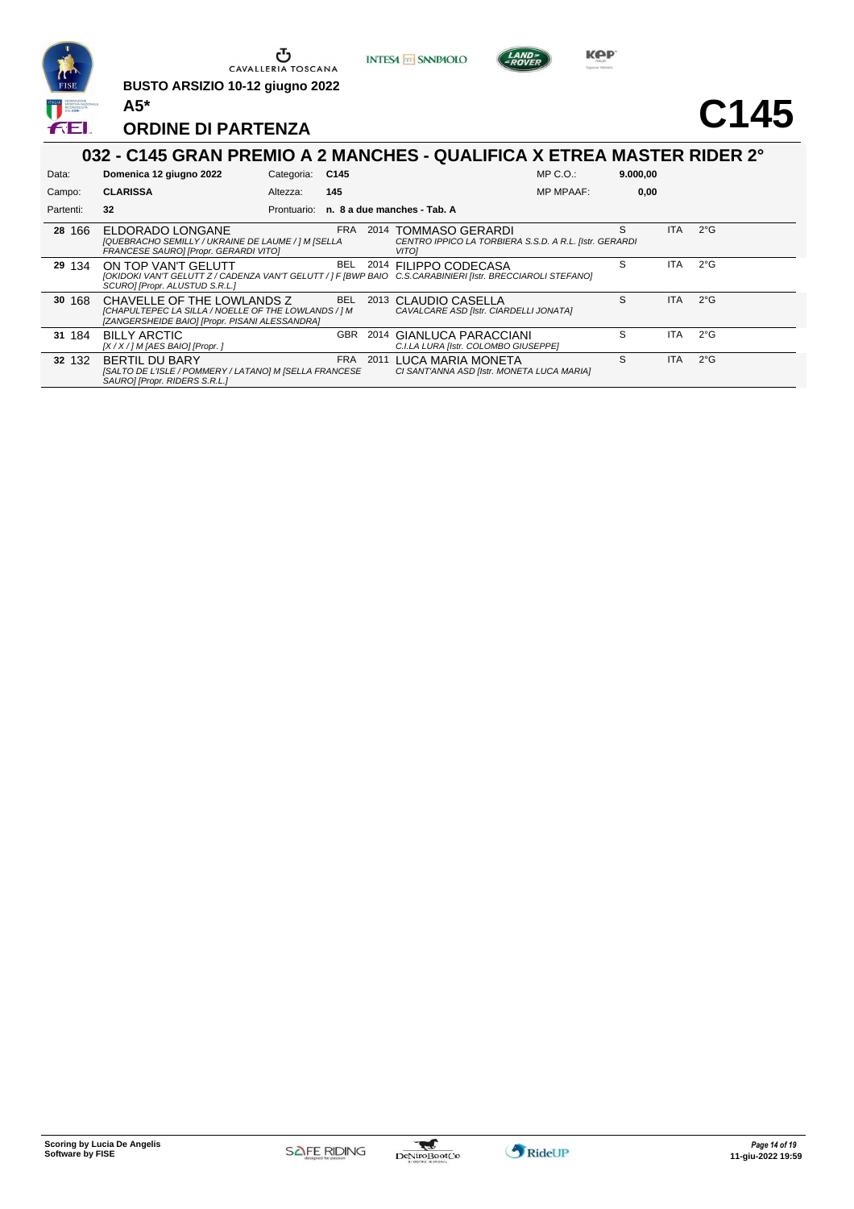

**BUSTO ARSIZIO 10-12 giugno 2022 A5\***





# **C145**

## **ORDINE DI PARTENZA**

|           | 032 - C145 GRAN PREMIO A 2 MANCHES - QUALIFICA X ETREA MASTER RIDER 2°                                                                                              |             |            |      |                                                                                                |                  |          |            |               |  |  |  |
|-----------|---------------------------------------------------------------------------------------------------------------------------------------------------------------------|-------------|------------|------|------------------------------------------------------------------------------------------------|------------------|----------|------------|---------------|--|--|--|
| Data:     | Domenica 12 giugno 2022                                                                                                                                             | Categoria:  | C145       |      |                                                                                                | $MP C. O.$ :     | 9.000,00 |            |               |  |  |  |
| Campo:    | <b>CLARISSA</b>                                                                                                                                                     | Altezza:    | 145        |      |                                                                                                | <b>MP MPAAF:</b> | 0,00     |            |               |  |  |  |
| Partenti: | 32                                                                                                                                                                  | Prontuario: |            |      | n. 8 a due manches - Tab. A                                                                    |                  |          |            |               |  |  |  |
| 28 166    | ELDORADO LONGANE<br>[QUEBRACHO SEMILLY / UKRAINE DE LAUME / ] M [SELLA<br>FRANCESE SAURO] [Propr. GERARDI VITO]                                                     |             | <b>FRA</b> |      | 2014 TOMMASO GERARDI<br>CENTRO IPPICO LA TORBIERA S.S.D. A R.L. [Istr. GERARDI<br><b>VITO1</b> |                  | S        | ITA.       | $2^{\circ}$ G |  |  |  |
| 29 134    | ON TOP VAN'T GELUTT<br>[OKIDOKI VAN'T GELUTT Z / CADENZA VAN'T GELUTT / ] F [BWP BAIO C.S.CARABINIERI [Istr. BRECCIAROLI STEFANO]<br>SCURO] [Propr. ALUSTUD S.R.L.] |             | BEL        |      | 2014 FILIPPO CODECASA                                                                          |                  | S        | ITA.       | $2^{\circ}$ G |  |  |  |
| 30 168    | CHAVELLE OF THE LOWLANDS Z<br>[CHAPULTEPEC LA SILLA / NOELLE OF THE LOWLANDS / ] M<br>[ZANGERSHEIDE BAIO] [Propr. PISANI ALESSANDRA]                                |             | <b>BEL</b> | 2013 | CLAUDIO CASELLA<br>CAVALCARE ASD [Istr. CIARDELLI JONATA]                                      |                  | S        | <b>ITA</b> | $2^{\circ}$ G |  |  |  |
| 31 184    | <b>BILLY ARCTIC</b><br>[X / X / ] M [AES BAIO] [Propr. ]                                                                                                            |             | GBR        | 2014 | GIANLUCA PARACCIANI<br>C.I.LA LURA [Istr. COLOMBO GIUSEPPE]                                    |                  | S        | <b>ITA</b> | $2^{\circ}$ G |  |  |  |
| 32 132    | <b>BERTIL DU BARY</b><br>[SALTO DE L'ISLE / POMMERY / LATANO] M [SELLA FRANCESE<br>SAUROI [Propr. RIDERS S.R.L.]                                                    |             | <b>FRA</b> | 2011 | LUCA MARIA MONETA<br>CI SANT'ANNA ASD [Istr. MONETA LUCA MARIA]                                |                  | S        | <b>ITA</b> | $2^{\circ}$ G |  |  |  |
|           |                                                                                                                                                                     |             |            |      |                                                                                                |                  |          |            |               |  |  |  |

**INTESA M** SANPAOLO



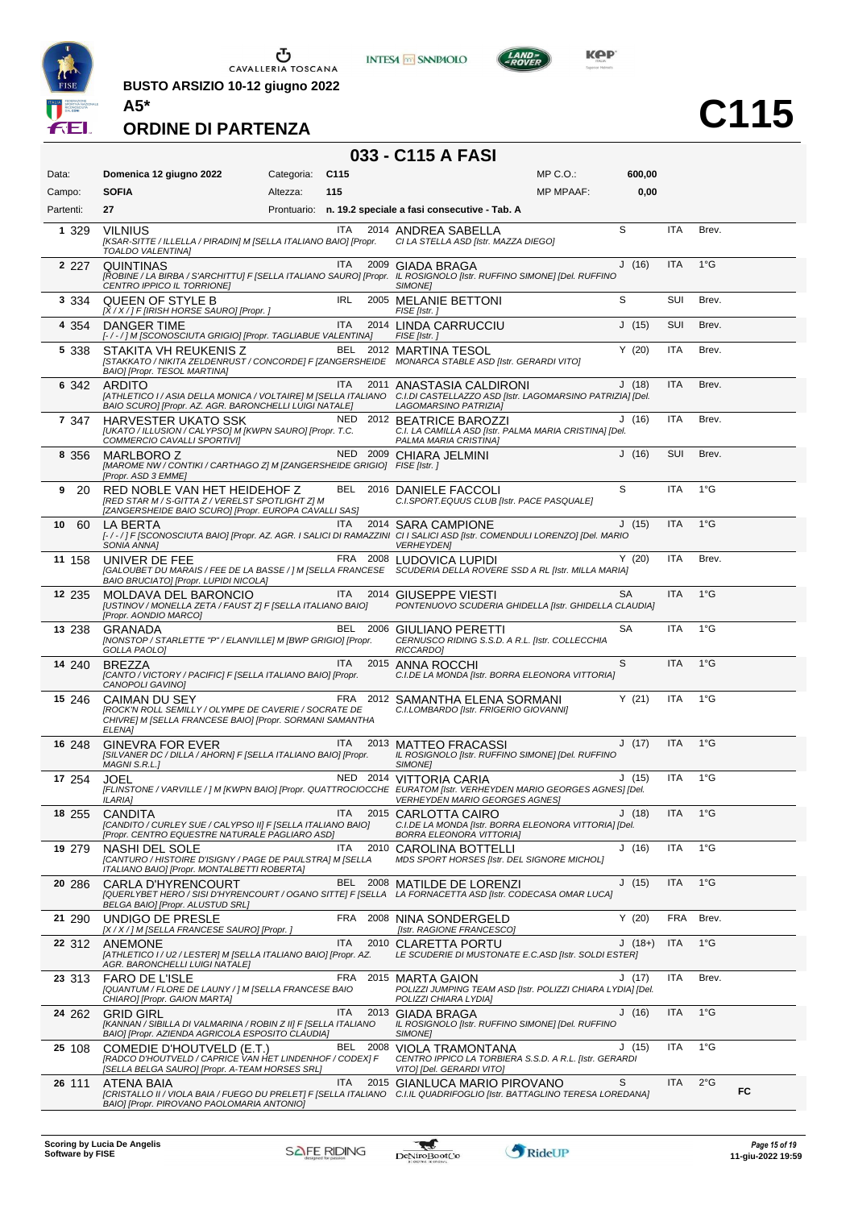

 $\begin{array}{c}\n\bullet \\
\bullet \\
\bullet \\
\bullet\n\end{array}$  CAVALLERIA TOSCANA

**BUSTO ARSIZIO 10-12 giugno 2022**





**C115**

### **ORDINE DI PARTENZA**

## **033 - C115 A FASI**

| Data:     | Domenica 12 giugno 2022                                                                                                                             | Categoria: | C <sub>115</sub> |          | MP C. O.                                                                                                                                                                        | 600,00   |            |               |    |
|-----------|-----------------------------------------------------------------------------------------------------------------------------------------------------|------------|------------------|----------|---------------------------------------------------------------------------------------------------------------------------------------------------------------------------------|----------|------------|---------------|----|
| Campo:    | <b>SOFIA</b>                                                                                                                                        | Altezza:   | 115              |          | <b>MP MPAAF:</b>                                                                                                                                                                | 0,00     |            |               |    |
| Partenti: | 27                                                                                                                                                  |            |                  |          | Prontuario: n. 19.2 speciale a fasi consecutive - Tab. A                                                                                                                        |          |            |               |    |
| 1 3 2 9   | <b>VILNIUS</b><br>[KSAR-SITTE / ILLELLA / PIRADIN] M [SELLA ITALIANO BAIO] [Propr.<br>TOALDO VALENTINA]                                             |            | ITA.             |          | 2014 ANDREA SABELLA<br>CI LA STELLA ASD [Istr. MAZZA DIEGO]                                                                                                                     | S        | <b>ITA</b> | Brev.         |    |
| 2 2 2 7   | <b>QUINTINAS</b><br>CENTRO IPPICO IL TORRIONE]                                                                                                      |            | <b>ITA</b>       |          | 2009 GIADA BRAGA<br>[ROBINE / LA BIRBA / S'ARCHITTU] F [SELLA ITALIANO SAURO] [Propr. IL ROSIGNOLO [Istr. RUFFINO SIMONE] [Del. RUFFINO<br>SIMONE <sub>1</sub>                  | J(16)    | <b>ITA</b> | $1^{\circ}$ G |    |
| 3 3 3 4   | QUEEN OF STYLE B<br>[X / X / ] F [IRISH HORSE SAURO] [Propr. ]                                                                                      |            | IRL              |          | 2005 MELANIE BETTONI<br>FISE [Istr.]                                                                                                                                            | S        | SUI        | Brev.         |    |
| 4 3 5 4   | DANGER TIME<br>[-/-/] M [SCONOSCIUTA GRIGIO] [Propr. TAGLIABUE VALENTINA]                                                                           |            | ITA              |          | 2014 LINDA CARRUCCIU<br>FISE [Istr.]                                                                                                                                            | J(15)    | SUI        | Brev.         |    |
| 5 338     | STAKITA VH REUKENIS Z<br><b>BAIO]</b> [Propr. TESOL MARTINA]                                                                                        |            |                  |          | BEL 2012 MARTINA TESOL<br>[STAKKATO / NIKITA ZELDENRUST / CONCORDE] F [ZANGERSHEIDE MONARCA STABLE ASD [Istr. GERARDI VITO]                                                     | Y(20)    | ITA        | Brev.         |    |
| 6 342     | <b>ARDITO</b><br>[ATHLETICO I / ASIA DELLA MONICA / VOLTAIRE] M [SELLA ITALIANO<br>BAIO SCURO] [Propr. AZ. AGR. BARONCHELLI LUIGI NATALE]           |            | <b>ITA</b>       |          | 2011 ANASTASIA CALDIRONI<br>C.I.DI CASTELLAZZO ASD [Istr. LAGOMARSINO PATRIZIA] [Del.<br>LAGOMARSINO PATRIZIA]                                                                  | J(18)    | <b>ITA</b> | Brev.         |    |
| 7 347     | <b>HARVESTER UKATO SSK</b><br>[UKATO / ILLUSION / CALYPSO] M [KWPN SAURO] [Propr. T.C.<br>COMMERCIO CAVALLI SPORTIVIJ                               |            |                  |          | NED 2012 BEATRICE BAROZZI<br>C.I. LA CAMILLA ASD [Istr. PALMA MARIA CRISTINA] [Del.<br>PALMA MARIA CRISTINA]                                                                    | J(16)    | <b>ITA</b> | Brev.         |    |
| 8 356     | MARLBORO Z<br>[MAROME NW / CONTIKI / CARTHAGO Z] M [ZANGERSHEIDE GRIGIO] FISE [Istr. ]<br>[Propr. ASD 3 EMME]                                       |            |                  |          | NED 2009 CHIARA JELMINI                                                                                                                                                         | J(16)    | SUI        | Brev.         |    |
| 9<br>-20  | RED NOBLE VAN HET HEIDEHOF Z<br>[RED STAR M / S-GITTA Z / VERELST SPOTLIGHT Z] M<br>[ZANGERSHEIDE BAIO SCURO] [Propr. EUROPA CAVALLI SAS]           |            |                  |          | BEL 2016 DANIELE FACCOLI<br>C.I.SPORT.EQUUS CLUB [Istr. PACE PASQUALE]                                                                                                          | S        | <b>ITA</b> | $1^{\circ}$ G |    |
| 10<br>60  | LA BERTA<br>SONIA ANNA]                                                                                                                             |            | <b>ITA</b>       |          | 2014 SARA CAMPIONE<br>[-/-/] F [SCONOSCIUTA BAIO] [Propr. AZ. AGR. I SALICI DI RAMAZZINI CI I SALICI ASD [Istr. COMENDULI LORENZO] [Del. MARIO<br><b>VERHEYDEN]</b>             | J(15)    | <b>ITA</b> | $1^{\circ}$ G |    |
| 11 158    | UNIVER DE FEE<br>BAIO BRUCIATO] [Propr. LUPIDI NICOLA]                                                                                              |            |                  |          | FRA 2008 LUDOVICA LUPIDI<br>[GALOUBET DU MARAIS / FEE DE LA BASSE / ] M [SELLA FRANCESE SCUDERIA DELLA ROVERE SSD A RL [Istr. MILLA MARIA]                                      | Y(20)    | <b>ITA</b> | Brev.         |    |
| 12 235    | <b>MOLDAVA DEL BARONCIO</b><br>[USTINOV / MONELLA ZETA / FAUST Z] F [SELLA ITALIANO BAIO]<br>[Propr. AONDIO MARCO]                                  |            | ITA              | 2014     | GIUSEPPE VIESTI<br>PONTENUOVO SCUDERIA GHIDELLA [Istr. GHIDELLA CLAUDIA]                                                                                                        | SА       | <b>ITA</b> | $1^{\circ}$ G |    |
| 13 238    | GRANADA<br>[NONSTOP / STARLETTE "P" / ELANVILLE] M [BWP GRIGIO] [Propr.<br>GOLLA PAOLO]                                                             |            |                  | BEL 2006 | GIULIANO PERETTI<br>CERNUSCO RIDING S.S.D. A R.L. [Istr. COLLECCHIA<br>RICCARDO]                                                                                                | SА       | ITA        | $1^{\circ}$ G |    |
| 14 240    | <b>BREZZA</b><br>[CANTO / VICTORY / PACIFIC] F [SELLA ITALIANO BAIO] [Propr.<br>CANOPOLI GAVINO]                                                    |            | ITA.             |          | 2015 ANNA ROCCHI<br>C.I.DE LA MONDA [Istr. BORRA ELEONORA VITTORIA]                                                                                                             | S        | <b>ITA</b> | $1^{\circ}$ G |    |
| 15 246    | CAIMAN DU SEY<br>[ROCK'N ROLL SEMILLY / OLYMPE DE CAVERIE / SOCRATE DE<br>CHIVRE] M [SELLA FRANCESE BAIO] [Propr. SORMANI SAMANTHA<br><b>ELENA1</b> |            | FRA              | 2012     | SAMANTHA ELENA SORMANI<br>C.I.LOMBARDO [Istr. FRIGERIO GIOVANNI]                                                                                                                | Y(21)    | ITA        | $1^{\circ}$ G |    |
| 16 248    | <b>GINEVRA FOR EVER</b><br>[SILVANER DC / DILLA / AHORN] F [SELLA ITALIANO BAIO] [Propr.<br>MAGNI S.R.L.]                                           |            | ITA I            |          | 2013 MATTEO FRACASSI<br>IL ROSIGNOLO [Istr. RUFFINO SIMONE] [Del. RUFFINO<br>SIMONE]                                                                                            | J(17)    | ITA        | $1^{\circ}G$  |    |
| 17 254    | JOEL<br><b>ILARIAI</b>                                                                                                                              |            |                  |          | NED 2014 VITTORIA CARIA<br>[FLINSTONE / VARVILLE / ] M [KWPN BAIO] [Propr. QUATTROCIOCCHE EURATOM [Istr. VERHEYDEN MARIO GEORGES AGNES] [Del.<br>VERHEYDEN MARIO GEORGES AGNES] | J(15)    | ITA        | $1^{\circ}$ G |    |
| 18 255    | CANDITA<br>[CANDITO / CURLEY SUE / CALYPSO II] F [SELLA ITALIANO BAIO]<br>[Propr. CENTRO EQUESTRE NATURALE PAGLIARO ASD]                            |            | ITA              |          | 2015 CARLOTTA CAIRO<br>C.I.DE LA MONDA [Istr. BORRA ELEONORA VITTORIA] [Del.<br><b>BORRA ELEONORA VITTORIA]</b>                                                                 | J(18)    | ITA        | 1°G           |    |
| 19 279    | NASHI DEL SOLE<br>[CANTURO / HISTOIRE D'ISIGNY / PAGE DE PAULSTRA] M [SELLA<br>ITALIANO BAIO] [Propr. MONTALBETTI ROBERTA]                          |            | ITA              |          | 2010 CAROLINA BOTTELLI<br>MDS SPORT HORSES [Istr. DEL SIGNORE MICHOL]                                                                                                           | J(16)    | ITA        | $1^{\circ}$ G |    |
| 20 286    | <b>CARLA D'HYRENCOURT</b><br>BELGA BAIO] [Propr. ALUSTUD SRL]                                                                                       |            |                  |          | BEL 2008 MATILDE DE LORENZI<br>[QUERLYBET HERO / SISI D'HYRENCOURT / OGANO SITTE] F [SELLA LA FORNACETTA ASD [Istr. CODECASA OMAR LUCA]                                         | J(15)    | ITA        | $1^{\circ}$ G |    |
| 21 290    | UNDIGO DE PRESLE<br>[X / X / ] M [SELLA FRANCESE SAURO] [Propr. ]                                                                                   |            |                  |          | FRA 2008 NINA SONDERGELD<br>[Istr. RAGIONE FRANCESCO]                                                                                                                           | Y(20)    | FRA        | Brev.         |    |
| 22 312    | <b>ANEMONE</b><br>[ATHLETICO I / U2 / LESTER] M [SELLA ITALIANO BAIO] [Propr. AZ.<br>AGR. BARONCHELLI LUIGI NATALEJ                                 |            | ITA              | 2010     | <b>CLARETTA PORTU</b><br>LE SCUDERIE DI MUSTONATE E.C.ASD [Istr. SOLDI ESTER]                                                                                                   | $J(18+)$ | <b>ITA</b> | $1^{\circ}$ G |    |
| 23 313    | FARO DE L'ISLE<br>[QUANTUM / FLORE DE LAUNY / ] M [SELLA FRANCESE BAIO<br>CHIARO] [Propr. GAION MARTA]                                              |            | FRA              |          | 2015 MARTA GAION<br>POLIZZI JUMPING TEAM ASD [Istr. POLIZZI CHIARA LYDIA] [Del.<br>POLIZZI CHIARA LYDIA]                                                                        | J(17)    | ITA        | Brev.         |    |
| 24 262    | <b>GRID GIRL</b><br>[KANNAN / SIBILLA DI VALMARINA / ROBIN Z II] F [SELLA ITALIANO<br>BAIO] [Propr. AZIENDA AGRICOLA ESPOSITO CLAUDIA]              |            | ITA              |          | 2013 GIADA BRAGA<br>IL ROSIGNOLO [Istr. RUFFINO SIMONE] [Del. RUFFINO<br>SIMONE]                                                                                                | J(16)    | ITA        | $1^{\circ}$ G |    |
| 25 108    | COMEDIE D'HOUTVELD (E.T.)<br>[RADCO D'HOUTVELD / CAPRICE VAN HET LINDENHOF / CODEX] F<br>[SELLA BELGA SAURO] [Propr. A-TEAM HORSES SRL]             |            |                  |          | BEL 2008 VIOLA TRAMONTANA<br>CENTRO IPPICO LA TORBIERA S.S.D. A R.L. [Istr. GERARDI<br>VITO] [Del. GERARDI VITO]                                                                | J(15)    | ITA        | $1^{\circ}$ G |    |
| 26 111    | ATENA BAIA<br>BAIO] [Propr. PIROVANO PAOLOMARIA ANTONIO]                                                                                            |            | ITA.             | 2015     | GIANLUCA MARIO PIROVANO<br>[CRISTALLO II / VIOLA BAIA / FUEGO DU PRELET] F [SELLA ITALIANO C.I.IL QUADRIFOGLIO [Istr. BATTAGLINO TERESA LOREDANA]                               | S        | ITA        | $2^{\circ}$ G | FC |

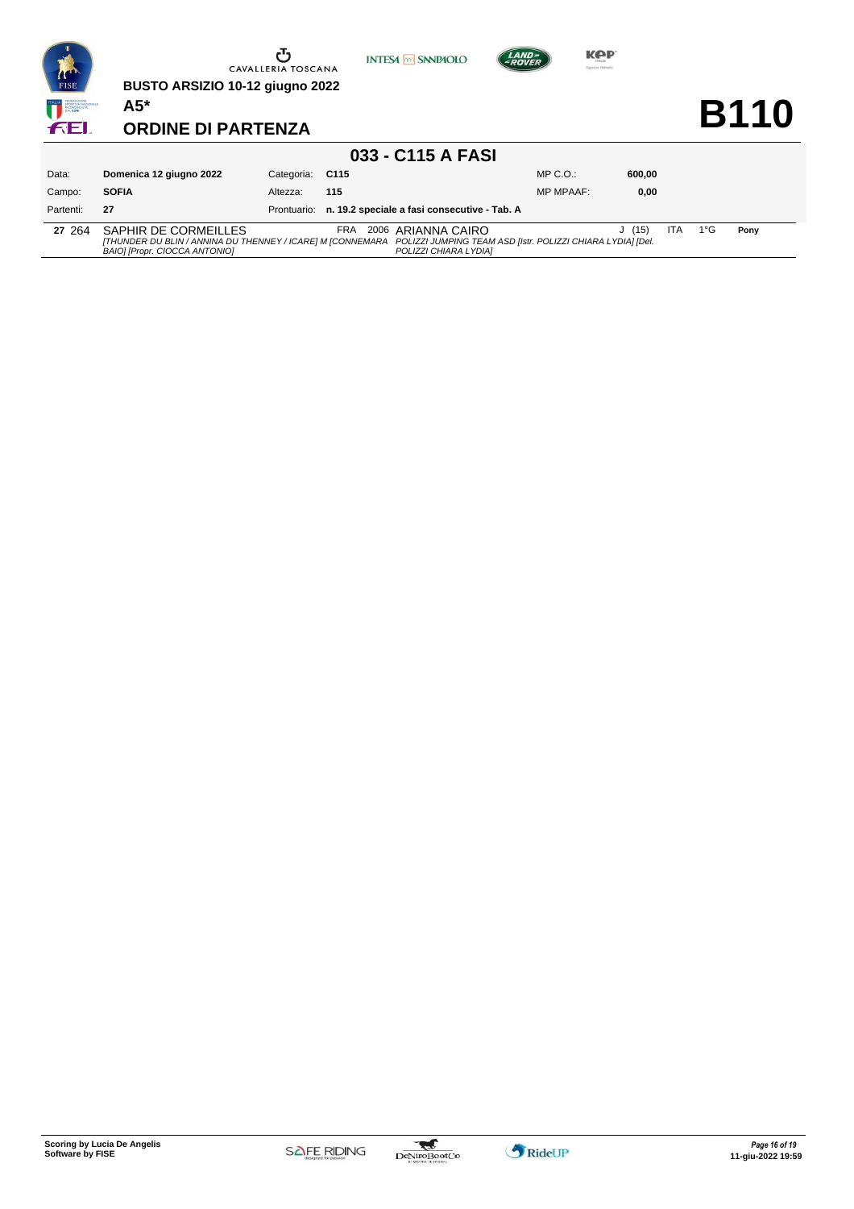

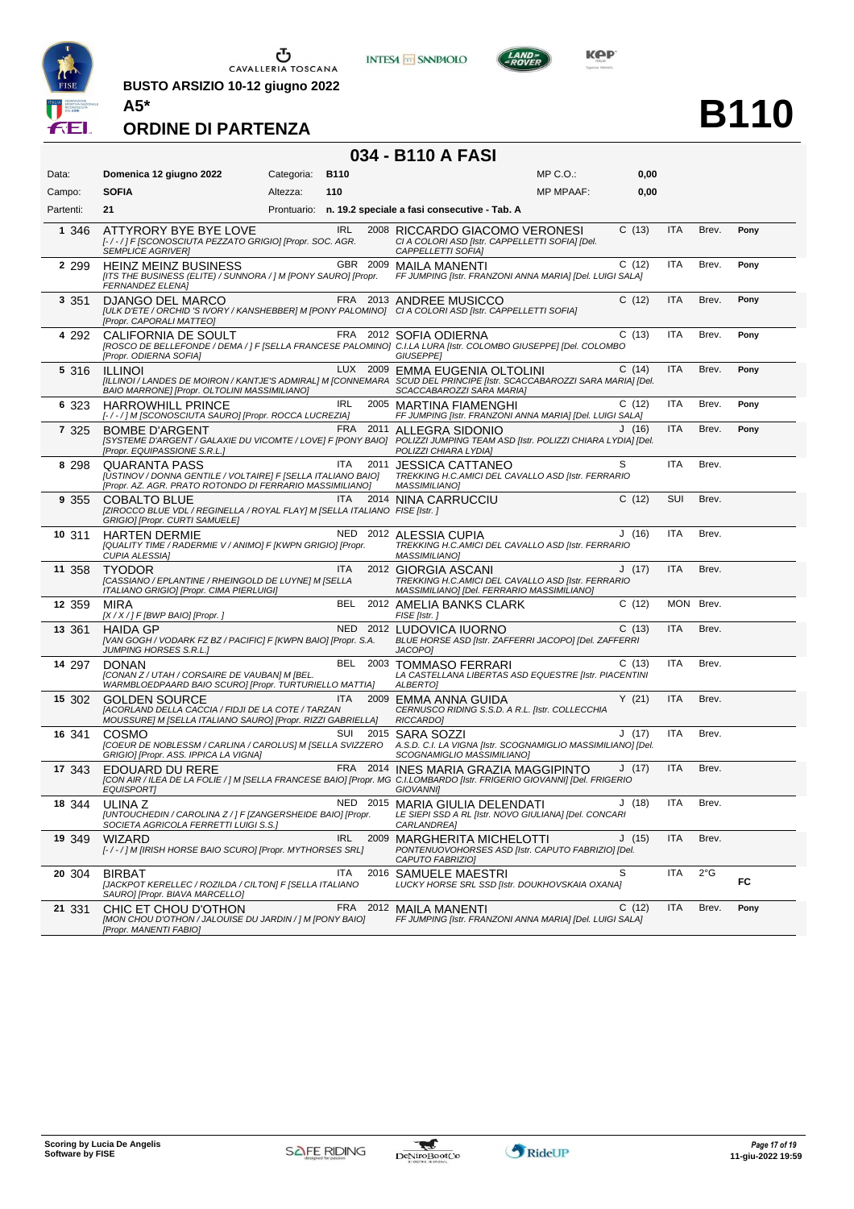

**BUSTO ARSIZIO 10-12 giugno 2022 A5\***





**B110**

#### **ORDINE DI PARTENZA**

### **034 - B110 A FASI**

| Data:     | Domenica 12 giugno 2022                                                                                                                          | Categoria: | <b>B110</b> |          | MP C.O.:                                                                                                                                                                              | 0,00  |            |               |      |
|-----------|--------------------------------------------------------------------------------------------------------------------------------------------------|------------|-------------|----------|---------------------------------------------------------------------------------------------------------------------------------------------------------------------------------------|-------|------------|---------------|------|
| Campo:    | <b>SOFIA</b>                                                                                                                                     | Altezza:   | 110         |          | <b>MP MPAAF:</b>                                                                                                                                                                      | 0,00  |            |               |      |
| Partenti: | 21                                                                                                                                               |            |             |          | Prontuario: n. 19.2 speciale a fasi consecutive - Tab. A                                                                                                                              |       |            |               |      |
| 1 346     | ATTYRORY BYE BYE LOVE<br>[-/-/] F [SCONOSCIUTA PEZZATO GRIGIO] [Propr. SOC. AGR.<br><b>SEMPLICE AGRIVER1</b>                                     |            | <b>IRL</b>  |          | 2008 RICCARDO GIACOMO VERONESI<br>CI A COLORI ASD [Istr. CAPPELLETTI SOFIA] [Del.<br>CAPPELLETTI SOFIA]                                                                               | C(13) | <b>ITA</b> | Brev.         | Pony |
| 2 2 9 9   | <b>HEINZ MEINZ BUSINESS</b><br>[ITS THE BUSINESS (ELITE) / SUNNORA / ] M [PONY SAURO] [Propr.<br><b>FERNANDEZ ELENA]</b>                         |            |             |          | GBR 2009 MAILA MANENTI<br>FF JUMPING [Istr. FRANZONI ANNA MARIA] [Del. LUIGI SALA]                                                                                                    | C(12) | <b>ITA</b> | Brev.         | Pony |
| 3 3 5 1   | DJANGO DEL MARCO<br>[Propr. CAPORALI MATTEO]                                                                                                     |            |             |          | FRA 2013 ANDREE MUSICCO<br>[ULK D'ETE / ORCHID 'S IVORY / KANSHEBBER] M [PONY PALOMINO] CI A COLORI ASD [Istr. CAPPELLETTI SOFIA]                                                     | C(12) | ITA        | Brev.         | Pony |
| 4 2 9 2   | CALIFORNIA DE SOULT<br>[Propr. ODIERNA SOFIA]                                                                                                    |            |             |          | FRA 2012 SOFIA ODIERNA<br>[ROSCO DE BELLEFONDE / DEMA / ] F [SELLA FRANCESE PALOMINO] C.I.LA LURA [Istr. COLOMBO GIUSEPPE] [Del. COLOMBO<br><b>GIUSEPPEI</b>                          | C(13) | ITA        | Brev.         | Pony |
| 5 316     | <b>ILLINOI</b><br>BAIO MARRONE] [Propr. OLTOLINI MASSIMILIANO]                                                                                   |            |             |          | LUX 2009 EMMA EUGENIA OLTOLINI<br>[ILLINOI / LANDES DE MOIRON / KANTJE'S ADMIRAL] M [CONNEMARA SCUD DEL PRINCIPE [Istr. SCACCABAROZZI SARA MARIA] [Del.<br>SCACCABAROZZI SARA MARIA]  | C(14) | <b>ITA</b> | Brev.         | Pony |
| 6 323     | <b>HARROWHILL PRINCE</b><br>[-/-/] M [SCONOSCIUTA SAURO] [Propr. ROCCA LUCREZIA]                                                                 |            | IRL         |          | 2005 MARTINA FIAMENGHI<br>FF JUMPING [Istr. FRANZONI ANNA MARIA] [Del. LUIGI SALA]                                                                                                    | C(12) | <b>ITA</b> | Brev.         | Pony |
| 7 3 2 5   | <b>BOMBE D'ARGENT</b><br>[Propr. EQUIPASSIONE S.R.L.]                                                                                            |            |             | FRA 2011 | ALLEGRA SIDONIO<br>[SYSTEME D'ARGENT / GALAXIE DU VICOMTE / LOVE] F [PONY BAIO] POLIZZI JUMPING TEAM ASD [Istr. POLIZZI CHIARA LYDIA] [Del.<br>POLIZZI CHIARA LYDIA]                  | J(16) | <b>ITA</b> | Brev.         | Pony |
| 8 2 9 8   | <b>QUARANTA PASS</b><br>[USTINOV / DONNA GENTILE / VOLTAIRE] F [SELLA ITALIANO BAIO]<br>[Propr. AZ. AGR. PRATO ROTONDO DI FERRARIO MASSIMILIANO] |            | <b>ITA</b>  | 2011     | <b>JESSICA CATTANEO</b><br>TREKKING H.C.AMICI DEL CAVALLO ASD [Istr. FERRARIO<br>MASSIMILIANO]                                                                                        | S     | <b>ITA</b> | Brev.         |      |
| 9 3 5 5   | <b>COBALTO BLUE</b><br>[ZIROCCO BLUE VDL / REGINELLA / ROYAL FLAY] M [SELLA ITALIANO FISE [Istr. ]<br>GRIGIO] [Propr. CURTI SAMUELE]             |            | <b>ITA</b>  |          | 2014 NINA CARRUCCIU                                                                                                                                                                   | C(12) | SUI        | Brev.         |      |
| 10 311    | <b>HARTEN DERMIE</b><br>[QUALITY TIME / RADERMIE V / ANIMO] F [KWPN GRIGIO] [Propr.<br><b>CUPIA ALESSIA]</b>                                     |            |             |          | NED 2012 ALESSIA CUPIA<br>TREKKING H.C.AMICI DEL CAVALLO ASD [Istr. FERRARIO<br><b>MASSIMILIANO]</b>                                                                                  | J(16) | ITA        | Brev.         |      |
| 11 358    | <b>TYODOR</b><br>[CASSIANO / EPLANTINE / RHEINGOLD DE LUYNE] M [SELLA<br>ITALIANO GRIGIO] [Propr. CIMA PIERLUIGI]                                |            | ITA         |          | 2012 GIORGIA ASCANI<br>TREKKING H.C.AMICI DEL CAVALLO ASD [Istr. FERRARIO<br>MASSIMILIANO] [Del. FERRARIO MASSIMILIANO]                                                               | J(17) | <b>ITA</b> | Brev.         |      |
| 12 359    | <b>MIRA</b><br>$[X/X$ / ] F [BWP BAIO] [Propr. ]                                                                                                 |            | BEL         |          | 2012 AMELIA BANKS CLARK<br>FISE [Istr.]                                                                                                                                               | C(12) | <b>MON</b> | Brev.         |      |
| 13 361    | <b>HAIDA GP</b><br>[VAN GOGH / VODARK FZ BZ / PACIFIC] F [KWPN BAIO] [Propr. S.A.<br><b>JUMPING HORSES S.R.L.1</b>                               |            |             |          | NED 2012 LUDOVICA IUORNO<br>BLUE HORSE ASD [Istr. ZAFFERRI JACOPO] [Del. ZAFFERRI<br>JACOPO]                                                                                          | C(13) | <b>ITA</b> | Brev.         |      |
| 14 297    | <b>DONAN</b><br>[CONAN Z / UTAH / CORSAIRE DE VAUBAN] M [BEL.<br>WARMBLOEDPAARD BAIO SCURO] [Propr. TURTURIELLO MATTIA]                          |            | BEL         |          | 2003 TOMMASO FERRARI<br>LA CASTELLANA LIBERTAS ASD EQUESTRE [Istr. PIACENTINI<br>ALBERTO]                                                                                             | C(13) | ITA        | Brev.         |      |
| 15 302    | <b>GOLDEN SOURCE</b><br>[ACORLAND DELLA CACCIA / FIDJI DE LA COTE / TARZAN<br>MOUSSURE] M [SELLA ITALIANO SAURO] [Propr. RIZZI GABRIELLA]        |            | <b>ITA</b>  |          | 2009 EMMA ANNA GUIDA<br>CERNUSCO RIDING S.S.D. A R.L. [Istr. COLLECCHIA<br>RICCARDO]                                                                                                  | Y(21) | <b>ITA</b> | Brev.         |      |
| 16 341    | COSMO<br>[COEUR DE NOBLESSM / CARLINA / CAROLUS] M [SELLA SVIZZERO<br>GRIGIO] [Propr. ASS. IPPICA LA VIGNA]                                      |            | SUI         | 2015     | SARA SOZZI<br>A.S.D. C.I. LA VIGNA [Istr. SCOGNAMIGLIO MASSIMILIANO] [Del.<br>SCOGNAMIGLIO MASSIMILIANO]                                                                              | J(17) | <b>ITA</b> | Brev.         |      |
| 17 343    | EDOUARD DU RERE<br><b>EQUISPORT</b>                                                                                                              |            |             |          | FRA 2014 INES MARIA GRAZIA MAGGIPINTO<br>[CON AIR / ILEA DE LA FOLIE / ] M [SELLA FRANCESE BAIO] [Propr. MG C.I.LOMBARDO [Istr. FRIGERIO GIOVANNI] [Del. FRIGERIO<br><b>GIOVANNII</b> | J(17) | <b>ITA</b> | Brev.         |      |
| 18 344    | ULINA Z<br>[UNTOUCHEDIN / CAROLINA Z / ] F [ZANGERSHEIDE BAIO] [Propr.<br>SOCIETA AGRICOLA FERRETTI LUIGI S.S.]                                  |            |             |          | NED 2015 MARIA GIULIA DELENDATI<br>LE SIEPI SSD A RL [Istr. NOVO GIULIANA] [Del. CONCARI<br>CARLANDREA]                                                                               | J(18) | ITA        | Brev.         |      |
| 19 349    | <b>WIZARD</b><br>[-/-/] M [IRISH HORSE BAIO SCURO] [Propr. MYTHORSES SRL]                                                                        |            | IRL         | 2009     | <b>MARGHERITA MICHELOTTI</b><br>PONTENUOVOHORSES ASD [Istr. CAPUTO FABRIZIO] [Del.<br>CAPUTO FABRIZIO]                                                                                | J(15) | <b>ITA</b> | Brev.         |      |
| 20 304    | <b>BIRBAT</b><br>[JACKPOT KERELLEC / ROZILDA / CILTON] F [SELLA ITALIANO<br>SAURO] [Propr. BIAVA MARCELLO]                                       |            | ITA         |          | 2016 SAMUELE MAESTRI<br>LUCKY HORSE SRL SSD [Istr. DOUKHOVSKAIA OXANA]                                                                                                                | S     | ITA        | $2^{\circ}$ G | FC   |
| 21 331    | CHIC ET CHOU D'OTHON<br>[MON CHOU D'OTHON / JALOUISE DU JARDIN / ] M [PONY BAIO]<br>[Propr. MANENTI FABIO]                                       |            | FRA         |          | 2012 MAILA MANENTI<br>FF JUMPING [Istr. FRANZONI ANNA MARIA] [Del. LUIGI SALA]                                                                                                        | C(12) | <b>ITA</b> | Brev.         | Pony |

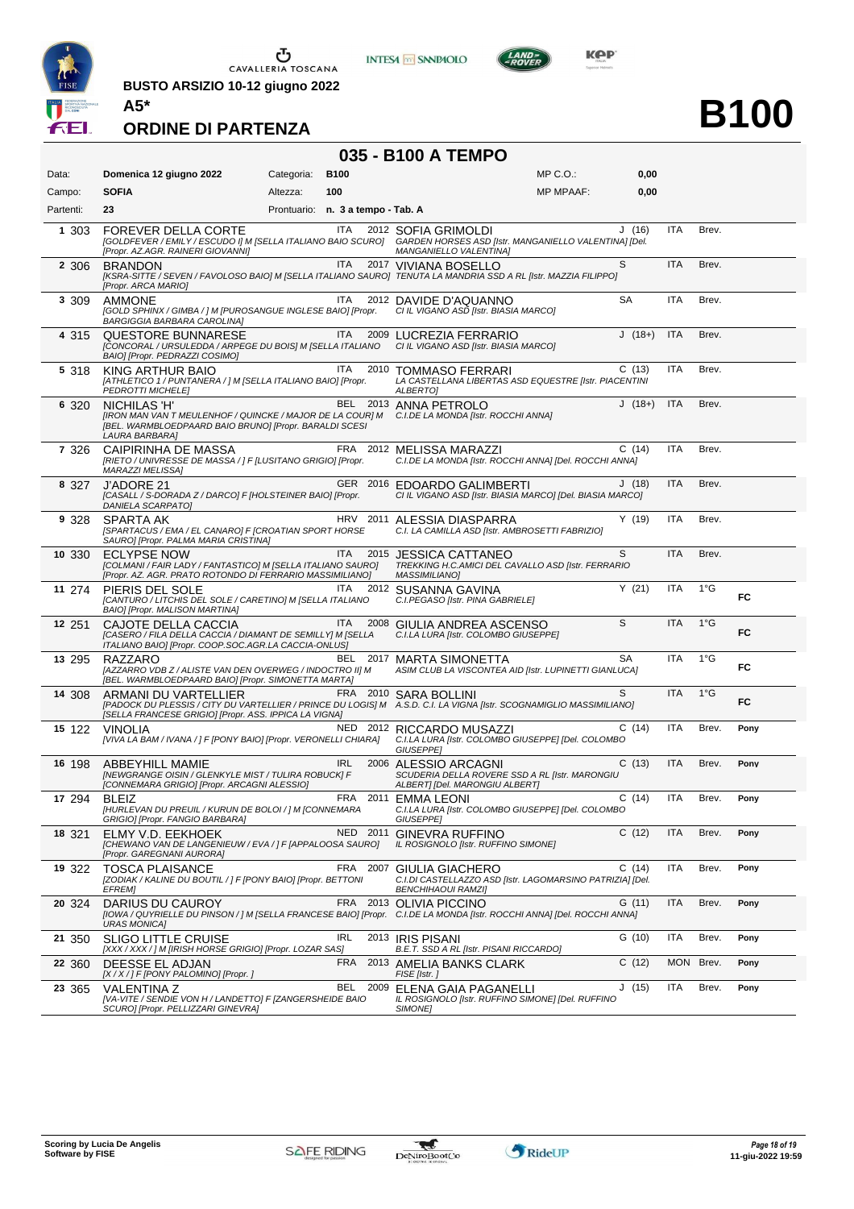

**BUSTO ARSIZIO 10-12 giugno 2022 A5\***





**B100**

|  |  | 035 - B100 A TEMPO |  |
|--|--|--------------------|--|
|--|--|--------------------|--|

| Data:     | Domenica 12 giugno 2022                                                                                                                                                                              | Categoria:                        | <b>B100</b> |          |                                                                                                             | MP C.O.:         | 0,00      |            |               |      |
|-----------|------------------------------------------------------------------------------------------------------------------------------------------------------------------------------------------------------|-----------------------------------|-------------|----------|-------------------------------------------------------------------------------------------------------------|------------------|-----------|------------|---------------|------|
| Campo:    | <b>SOFIA</b>                                                                                                                                                                                         | Altezza:                          | 100         |          |                                                                                                             | <b>MP MPAAF:</b> | 0,00      |            |               |      |
| Partenti: | 23                                                                                                                                                                                                   | Prontuario: n. 3 a tempo - Tab. A |             |          |                                                                                                             |                  |           |            |               |      |
| 1 303     | <b>FOREVER DELLA CORTE</b><br>[GOLDFEVER / EMILY / ESCUDO I] M [SELLA ITALIANO BAIO SCURO] GARDEN HORSES ASD [Istr. MANGANIELLO VALENTINA] [Del.<br>[Propr. AZ.AGR. RAINERI GIOVANNI]                |                                   | ITA         |          | 2012 SOFIA GRIMOLDI<br>MANGANIELLO VALENTINA]                                                               |                  | J(16)     | ITA        | Brev.         |      |
| 2 3 0 6   | <b>BRANDON</b><br>[KSRA-SITTE / SEVEN / FAVOLOSO BAIO] M [SELLA ITALIANO SAURO] TENUTA LA MANDRIA SSD A RL [Istr. MAZZIA FILIPPO]<br>[Propr. ARCA MARIO]                                             |                                   | <b>ITA</b>  |          | 2017 VIVIANA BOSELLO                                                                                        |                  | S         | <b>ITA</b> | Brev.         |      |
| 3 309     | <b>AMMONE</b><br>[GOLD SPHINX / GIMBA / ] M [PUROSANGUE INGLESE BAIO] [Propr.<br><b>BARGIGGIA BARBARA CAROLINA1</b>                                                                                  |                                   | ITA         |          | 2012 DAVIDE D'AQUANNO<br>CI IL VIGANO ASD [Istr. BIASIA MARCO]                                              |                  | SA        | ITA        | Brev.         |      |
| 4 315     | <b>QUESTORE BUNNARESE</b><br>[CONCORAL / URSULEDDA / ARPEGE DU BOIS] M [SELLA ITALIANO<br>BAIO] [Propr. PEDRAZZI COSIMO]                                                                             |                                   | ITA I       |          | 2009 LUCREZIA FERRARIO<br>CI IL VIGANO ASD [Istr. BIASIA MARCO]                                             |                  | $J(18+)$  | <b>ITA</b> | Brev.         |      |
| 5 318     | KING ARTHUR BAIO<br>[ATHLETICO 1 / PUNTANERA / ] M [SELLA ITALIANO BAIO] [Propr.<br><b>PEDROTTI MICHELEJ</b>                                                                                         |                                   | <b>ITA</b>  | 2010     | <b>TOMMASO FERRARI</b><br>LA CASTELLANA LIBERTAS ASD EQUESTRE [Istr. PIACENTINI<br>ALBERTO]                 |                  | C(13)     | ITA        | Brev.         |      |
| 6 320     | NICHILAS 'H'<br>[IRON MAN VAN T MEULENHOF / QUINCKE / MAJOR DE LA COUR] M<br>[BEL. WARMBLOEDPAARD BAIO BRUNO] [Propr. BARALDI SCESI<br>LAURA BARBARA]                                                |                                   |             |          | BEL 2013 ANNA PETROLO<br>C.I.DE LA MONDA [Istr. ROCCHI ANNA]                                                |                  | $J(18+)$  | <b>ITA</b> | Brev.         |      |
| 7 326     | CAIPIRINHA DE MASSA<br>[RIETO / UNIVRESSE DE MASSA / ] F [LUSITANO GRIGIO] [Propr.<br>MARAZZI MELISSA]                                                                                               |                                   |             |          | FRA 2012 MELISSA MARAZZI<br>C.I.DE LA MONDA [Istr. ROCCHI ANNA] [Del. ROCCHI ANNA]                          |                  | C(14)     | <b>ITA</b> | Brev.         |      |
| 8 327     | J'ADORE 21<br>[CASALL / S-DORADA Z / DARCO] F [HOLSTEINER BAIO] [Propr.<br>DANIELA SCARPATO]                                                                                                         |                                   |             |          | GER 2016 EDOARDO GALIMBERTI<br>CI IL VIGANO ASD [Istr. BIASIA MARCO] [Del. BIASIA MARCO]                    |                  | J(18)     | <b>ITA</b> | Brev.         |      |
| 9 328     | SPARTA AK<br>[SPARTACUS / EMA / EL CANARO] F [CROATIAN SPORT HORSE<br>SAURO] [Propr. PALMA MARIA CRISTINA]                                                                                           |                                   |             |          | HRV 2011 ALESSIA DIASPARRA<br>C.I. LA CAMILLA ASD [Istr. AMBROSETTI FABRIZIO]                               |                  | Y(19)     | <b>ITA</b> | Brev.         |      |
| 10 330    | <b>ECLYPSE NOW</b><br>[COLMANI / FAIR LADY / FANTASTICO] M [SELLA ITALIANO SAURO]<br>[Propr. AZ. AGR. PRATO ROTONDO DI FERRARIO MASSIMILIANO]                                                        |                                   | ITA         |          | 2015 JESSICA CATTANEO<br>TREKKING H.C.AMICI DEL CAVALLO ASD [Istr. FERRARIO<br><b>MASSIMILIANO]</b>         |                  | S         | <b>ITA</b> | Brev.         |      |
| 11 274    | PIERIS DEL SOLE<br>[CANTURO / LITCHIS DEL SOLE / CARETINO] M [SELLA ITALIANO<br>BAIO] [Propr. MALISON MARTINA]                                                                                       |                                   | <b>ITA</b>  |          | 2012 SUSANNA GAVINA<br>C.I.PEGASO [Istr. PINA GABRIELE]                                                     |                  | Y(21)     | <b>ITA</b> | $1^{\circ}$ G | FC   |
| 12 251    | CAJOTE DELLA CACCIA<br>[CASERO / FILA DELLA CACCIA / DIAMANT DE SEMILLY] M [SELLA<br>ITALIANO BAIO] [Propr. COOP.SOC.AGR.LA CACCIA-ONLUS]                                                            |                                   | <b>ITA</b>  | 2008     | GIULIA ANDREA ASCENSO<br>C.I.LA LURA [Istr. COLOMBO GIUSEPPE]                                               |                  | S         | <b>ITA</b> | $1^{\circ}$ G | FC   |
| 13 295    | RAZZARO<br>[AZZARRO VDB Z / ALISTE VAN DEN OVERWEG / INDOCTRO II] M<br>[BEL. WARMBLOEDPAARD BAIO] [Propr. SIMONETTA MARTA]                                                                           |                                   |             |          | BEL 2017 MARTA SIMONETTA<br>ASIM CLUB LA VISCONTEA AID [Istr. LUPINETTI GIANLUCA]                           |                  | <b>SA</b> | <b>ITA</b> | $1^{\circ}G$  | FC   |
| 14 308    | ARMANI DU VARTELLIER<br>[PADOCK DU PLESSIS / CITY DU VARTELLIER / PRINCE DU LOGIS] M A.S.D. C.I. LA VIGNA [Istr. SCOGNAMIGLIO MASSIMILIANO]<br>[SELLA FRANCESE GRIGIO] [Propr. ASS. IPPICA LA VIGNA] |                                   |             |          | FRA 2010 SARA BOLLINI                                                                                       |                  | S         | <b>ITA</b> | $1^{\circ}$ G | FC   |
| 15 122    | <b>VINOLIA</b><br>[VIVA LA BAM / IVANA / ] F [PONY BAIO] [Propr. VERONELLI CHIARA]                                                                                                                   |                                   |             |          | NED 2012 RICCARDO MUSAZZI<br>C.I.LA LURA [Istr. COLOMBO GIUSEPPE] [Del. COLOMBO<br><b>GIUSEPPE]</b>         |                  | C(14)     | ITA        | Brev.         | Pony |
| 16 198    | <b>ABBEYHILL MAMIE</b><br>[NEWGRANGE OISIN / GLENKYLE MIST / TULIRA ROBUCK] F<br>[CONNEMARA GRIGIO] [Propr. ARCAGNI ALESSIO]                                                                         |                                   | <b>IRL</b>  |          | 2006 ALESSIO ARCAGNI<br>SCUDERIA DELLA ROVERE SSD A RL [Istr. MARONGIU<br>ALBERT] [Del. MARONGIU ALBERT]    |                  | C(13)     | <b>ITA</b> | Brev.         | Pony |
| 17 294    | <b>BLEIZ</b><br>[HURLEVAN DU PREUIL / KURUN DE BOLOI / ] M [CONNEMARA<br>GRIGIO] [Propr. FANGIO BARBARA]                                                                                             |                                   | FRA         |          | 2011 EMMA LEONI<br>C.I.LA LURA [Istr. COLOMBO GIUSEPPE] [Del. COLOMBO<br><b>GIUSEPPE]</b>                   |                  | C(14)     | <b>ITA</b> | Brev.         | Pony |
| 18 321    | ELMY V.D. EEKHOEK<br>[CHEWANO VAN DE LANGENIEUW / EVA / ] F [APPALOOSA SAURO]<br>[Propr. GAREGNANI AURORA]                                                                                           |                                   |             | NED 2011 | <b>GINEVRA RUFFINO</b><br>IL ROSIGNOLO [Istr. RUFFINO SIMONE]                                               |                  | C(12)     | ITA        | Brev.         | Pony |
| 19 322    | <b>TOSCA PLAISANCE</b><br>[ZODIAK / KALINE DU BOUTIL / ] F [PONY BAIO] [Propr. BETTONI<br><b>EFREM]</b>                                                                                              |                                   |             |          | FRA 2007 GIULIA GIACHERO<br>C.I.DI CASTELLAZZO ASD [Istr. LAGOMARSINO PATRIZIA] [Del.<br>BENCHIHAOUI RAMZI] |                  | C(14)     | ITA        | Brev.         | Pony |
| 20 324    | DARIUS DU CAUROY<br>[IOWA / QUYRIELLE DU PINSON / ] M [SELLA FRANCESE BAIO] [Propr. C.I.DE LA MONDA [Istr. ROCCHI ANNA] [Del. ROCCHI ANNA]<br><b>URAS MONICA]</b>                                    |                                   | FRA         | 2013     | <b>OLIVIA PICCINO</b>                                                                                       |                  | G(11)     | ITA        | Brev.         | Pony |
| 21 350    | <b>SLIGO LITTLE CRUISE</b><br>[XXX / XXX / ] M [IRISH HORSE GRIGIO] [Propr. LOZAR SAS]                                                                                                               |                                   | <b>IRL</b>  |          | 2013 IRIS PISANI<br>B.E.T. SSD A RL [Istr. PISANI RICCARDO]                                                 |                  | G (10)    | <b>ITA</b> | Brev.         | Pony |
| 22 360    | DEESSE EL ADJAN<br>[X / X / ] F [PONY PALOMINO] [Propr. ]                                                                                                                                            |                                   | FRA         |          | 2013 AMELIA BANKS CLARK<br>FISE [Istr. j                                                                    |                  | C(12)     | MON Brev.  |               | Pony |
| 23 365    | <b>VALENTINA Z</b><br>[VA-VITE / SENDIE VON H / LANDETTO] F [ZANGERSHEIDE BAIO<br>SCURO] [Propr. PELLIZZARI GINEVRA]                                                                                 |                                   | BEL         | 2009     | ELENA GAIA PAGANELLI<br>IL ROSIGNOLO [Istr. RUFFINO SIMONE] [Del. RUFFINO<br><b>SIMONE</b>                  |                  | J(15)     | ITA        | Brev.         | Pony |